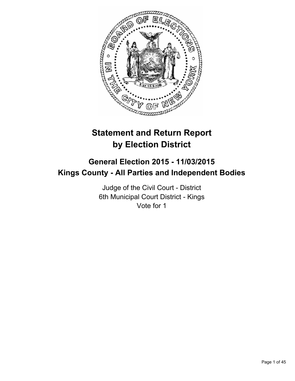

# **Statement and Return Report by Election District**

# **General Election 2015 - 11/03/2015 Kings County - All Parties and Independent Bodies**

Judge of the Civil Court - District 6th Municipal Court District - Kings Vote for 1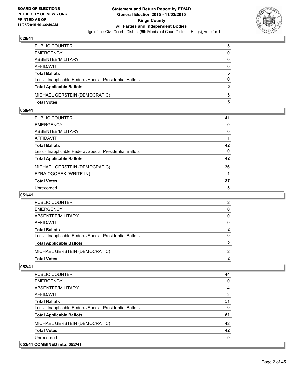

| PUBLIC COUNTER                                           | 5            |
|----------------------------------------------------------|--------------|
| EMERGENCY                                                | $\mathbf{0}$ |
| ABSENTEE/MILITARY                                        | 0            |
| AFFIDAVIT                                                | $\Omega$     |
| <b>Total Ballots</b>                                     | 5            |
| Less - Inapplicable Federal/Special Presidential Ballots | $\Omega$     |
| <b>Total Applicable Ballots</b>                          | 5            |
| MICHAEL GERSTEIN (DEMOCRATIC)                            | 5            |
| Total Votes                                              | 5            |

# **050/41**

| PUBLIC COUNTER                                           | 41           |
|----------------------------------------------------------|--------------|
| EMERGENCY                                                | $\Omega$     |
| ABSENTEE/MILITARY                                        | 0            |
| AFFIDAVIT                                                |              |
| <b>Total Ballots</b>                                     | 42           |
| Less - Inapplicable Federal/Special Presidential Ballots | $\mathbf{0}$ |
| <b>Total Applicable Ballots</b>                          | 42           |
| MICHAEL GERSTEIN (DEMOCRATIC)                            | 36           |
| EZRA OGOREK (WRITE-IN)                                   |              |
| <b>Total Votes</b>                                       | 37           |
| Unrecorded                                               | 5            |

## **051/41**

| PUBLIC COUNTER                                           | 2 |
|----------------------------------------------------------|---|
| <b>EMERGENCY</b>                                         | 0 |
| ABSENTEE/MILITARY                                        | 0 |
| <b>AFFIDAVIT</b>                                         | 0 |
| <b>Total Ballots</b>                                     | 2 |
| Less - Inapplicable Federal/Special Presidential Ballots | 0 |
| <b>Total Applicable Ballots</b>                          |   |
| MICHAEL GERSTEIN (DEMOCRATIC)                            | 2 |
| <b>Total Votes</b>                                       | 2 |

| <b>PUBLIC COUNTER</b>                                    | 44 |
|----------------------------------------------------------|----|
| <b>EMERGENCY</b>                                         | 0  |
| ABSENTEE/MILITARY                                        | 4  |
| <b>AFFIDAVIT</b>                                         | 3  |
| <b>Total Ballots</b>                                     | 51 |
| Less - Inapplicable Federal/Special Presidential Ballots | 0  |
| <b>Total Applicable Ballots</b>                          | 51 |
| MICHAEL GERSTEIN (DEMOCRATIC)                            | 42 |
| <b>Total Votes</b>                                       | 42 |
| Unrecorded                                               | 9  |
| 053/41 COMBINED into: 052/41                             |    |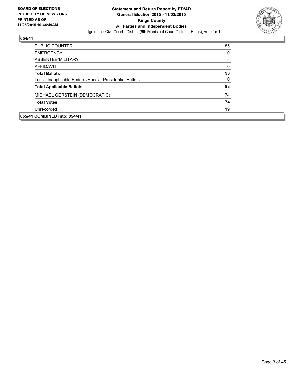

| <b>PUBLIC COUNTER</b>                                    | 85 |
|----------------------------------------------------------|----|
| <b>EMERGENCY</b>                                         | 0  |
| ABSENTEE/MILITARY                                        | 8  |
| AFFIDAVIT                                                | 0  |
| <b>Total Ballots</b>                                     | 93 |
| Less - Inapplicable Federal/Special Presidential Ballots | 0  |
| <b>Total Applicable Ballots</b>                          | 93 |
| MICHAEL GERSTEIN (DEMOCRATIC)                            | 74 |
| <b>Total Votes</b>                                       | 74 |
| Unrecorded                                               | 19 |
| 055/41 COMBINED into: 054/41                             |    |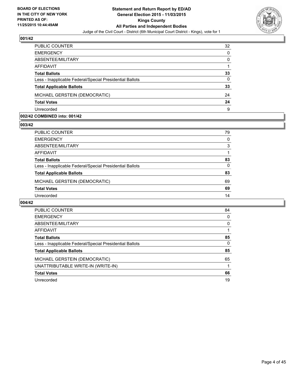

| PUBLIC COUNTER                                           | 32 |
|----------------------------------------------------------|----|
| <b>EMERGENCY</b>                                         | 0  |
| ABSENTEE/MILITARY                                        | 0  |
| AFFIDAVIT                                                |    |
| <b>Total Ballots</b>                                     | 33 |
| Less - Inapplicable Federal/Special Presidential Ballots | 0  |
| <b>Total Applicable Ballots</b>                          | 33 |
| MICHAEL GERSTEIN (DEMOCRATIC)                            | 24 |
| <b>Total Votes</b>                                       | 24 |
| Unrecorded                                               | 9  |

#### **002/42 COMBINED into: 001/42**

**003/42** 

| PUBLIC COUNTER                                           | 79 |
|----------------------------------------------------------|----|
| <b>EMERGENCY</b>                                         | 0  |
| ABSENTEE/MILITARY                                        | 3  |
| <b>AFFIDAVIT</b>                                         |    |
| <b>Total Ballots</b>                                     | 83 |
| Less - Inapplicable Federal/Special Presidential Ballots | 0  |
| <b>Total Applicable Ballots</b>                          | 83 |
| MICHAEL GERSTEIN (DEMOCRATIC)                            | 69 |
| <b>Total Votes</b>                                       | 69 |
| Unrecorded                                               | 14 |
|                                                          |    |

| <b>PUBLIC COUNTER</b>                                    | 84 |
|----------------------------------------------------------|----|
| <b>EMERGENCY</b>                                         | 0  |
| ABSENTEE/MILITARY                                        | 0  |
| AFFIDAVIT                                                |    |
| <b>Total Ballots</b>                                     | 85 |
| Less - Inapplicable Federal/Special Presidential Ballots | 0  |
| <b>Total Applicable Ballots</b>                          | 85 |
| MICHAEL GERSTEIN (DEMOCRATIC)                            | 65 |
| UNATTRIBUTABLE WRITE-IN (WRITE-IN)                       |    |
| <b>Total Votes</b>                                       | 66 |
| Unrecorded                                               | 19 |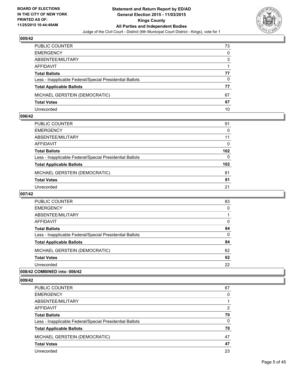

| PUBLIC COUNTER                                           | 73       |
|----------------------------------------------------------|----------|
| <b>EMERGENCY</b>                                         | $\Omega$ |
| ABSENTEE/MILITARY                                        | 3        |
| AFFIDAVIT                                                |          |
| <b>Total Ballots</b>                                     | 77       |
| Less - Inapplicable Federal/Special Presidential Ballots | 0        |
| <b>Total Applicable Ballots</b>                          | 77       |
| MICHAEL GERSTEIN (DEMOCRATIC)                            | 67       |
| <b>Total Votes</b>                                       | 67       |
| Unrecorded                                               | 10       |

#### **006/42**

| PUBLIC COUNTER                                           | 91               |
|----------------------------------------------------------|------------------|
| EMERGENCY                                                | 0                |
| ABSENTEE/MILITARY                                        | 11               |
| AFFIDAVIT                                                | 0                |
| Total Ballots                                            | 102 <sub>2</sub> |
| Less - Inapplicable Federal/Special Presidential Ballots | 0                |
| <b>Total Applicable Ballots</b>                          | 102 <sub>1</sub> |
| MICHAEL GERSTEIN (DEMOCRATIC)                            | 81               |
| Total Votes                                              | 81               |
| Unrecorded                                               | 21               |
|                                                          |                  |

# **007/42**

| <b>PUBLIC COUNTER</b>                                    | 83 |
|----------------------------------------------------------|----|
| <b>EMERGENCY</b>                                         | 0  |
| ABSENTEE/MILITARY                                        |    |
| AFFIDAVIT                                                | 0  |
| <b>Total Ballots</b>                                     | 84 |
| Less - Inapplicable Federal/Special Presidential Ballots | 0  |
| <b>Total Applicable Ballots</b>                          | 84 |
| MICHAEL GERSTEIN (DEMOCRATIC)                            | 62 |
| <b>Total Votes</b>                                       | 62 |
| Unrecorded                                               | 22 |
|                                                          |    |

## **008/42 COMBINED into: 006/42**

| PUBLIC COUNTER                                           | 67 |
|----------------------------------------------------------|----|
| <b>EMERGENCY</b>                                         | 0  |
| ABSENTEE/MILITARY                                        |    |
| <b>AFFIDAVIT</b>                                         | 2  |
| <b>Total Ballots</b>                                     | 70 |
| Less - Inapplicable Federal/Special Presidential Ballots | 0  |
| <b>Total Applicable Ballots</b>                          | 70 |
| MICHAEL GERSTEIN (DEMOCRATIC)                            | 47 |
| <b>Total Votes</b>                                       | 47 |
| Unrecorded                                               | 23 |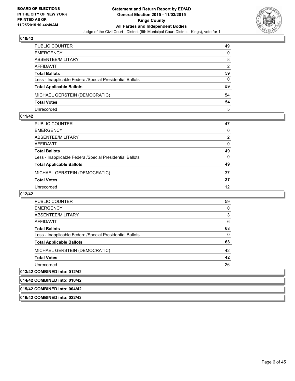

| PUBLIC COUNTER                                           | 49       |
|----------------------------------------------------------|----------|
| <b>EMERGENCY</b>                                         | $\Omega$ |
| ABSENTEE/MILITARY                                        | 8        |
| AFFIDAVIT                                                | 2        |
| <b>Total Ballots</b>                                     | 59       |
| Less - Inapplicable Federal/Special Presidential Ballots | 0        |
| <b>Total Applicable Ballots</b>                          | 59       |
| MICHAEL GERSTEIN (DEMOCRATIC)                            | 54       |
| <b>Total Votes</b>                                       | 54       |
| Unrecorded                                               | 5        |

#### **011/42**

| PUBLIC COUNTER                                           | 47                |
|----------------------------------------------------------|-------------------|
| EMERGENCY                                                | 0                 |
| ABSENTEE/MILITARY                                        | 2                 |
| AFFIDAVIT                                                | 0                 |
| Total Ballots                                            | 49                |
| Less - Inapplicable Federal/Special Presidential Ballots | 0                 |
| <b>Total Applicable Ballots</b>                          | 49                |
| MICHAEL GERSTEIN (DEMOCRATIC)                            | 37                |
| <b>Total Votes</b>                                       | 37                |
| Unrecorded                                               | $12 \overline{ }$ |

# **012/42**

| <b>PUBLIC COUNTER</b>                                    | 59 |
|----------------------------------------------------------|----|
| <b>EMERGENCY</b>                                         | 0  |
| ABSENTEE/MILITARY                                        | 3  |
| AFFIDAVIT                                                | 6  |
| <b>Total Ballots</b>                                     | 68 |
| Less - Inapplicable Federal/Special Presidential Ballots | 0  |
| <b>Total Applicable Ballots</b>                          | 68 |
| MICHAEL GERSTEIN (DEMOCRATIC)                            | 42 |
| <b>Total Votes</b>                                       | 42 |
| Unrecorded                                               | 26 |
| 013/42 COMBINED into: 012/42                             |    |
| 014/42 COMBINED into: 010/42                             |    |
| 015/42 COMBINED into: 004/42                             |    |

#### **016/42 COMBINED into: 022/42**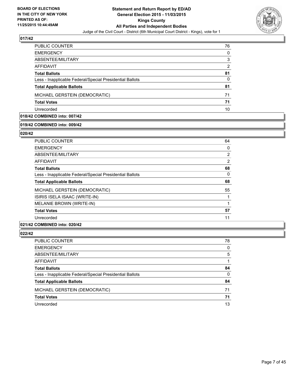

| <b>PUBLIC COUNTER</b>                                    | 76 |
|----------------------------------------------------------|----|
| <b>EMERGENCY</b>                                         | 0  |
| ABSENTEE/MILITARY                                        | 3  |
| AFFIDAVIT                                                | 2  |
| <b>Total Ballots</b>                                     | 81 |
| Less - Inapplicable Federal/Special Presidential Ballots | 0  |
| <b>Total Applicable Ballots</b>                          | 81 |
| MICHAEL GERSTEIN (DEMOCRATIC)                            | 71 |
| <b>Total Votes</b>                                       | 71 |
| Unrecorded                                               | 10 |

# **018/42 COMBINED into: 007/42**

# **019/42 COMBINED into: 009/42**

#### **020/42**

| <b>PUBLIC COUNTER</b>                                    | 64 |
|----------------------------------------------------------|----|
| <b>EMERGENCY</b>                                         | 0  |
| ABSENTEE/MILITARY                                        | 2  |
| AFFIDAVIT                                                | 2  |
| <b>Total Ballots</b>                                     | 68 |
| Less - Inapplicable Federal/Special Presidential Ballots | 0  |
| <b>Total Applicable Ballots</b>                          | 68 |
| MICHAEL GERSTEIN (DEMOCRATIC)                            | 55 |
| ISIRIS ISELA ISAAC (WRITE-IN)                            | 1  |
| MELANIE BROWN (WRITE-IN)                                 | 1  |
| <b>Total Votes</b>                                       | 57 |
| Unrecorded                                               | 11 |

#### **021/42 COMBINED into: 020/42**

| PUBLIC COUNTER                                           | 78       |
|----------------------------------------------------------|----------|
| <b>EMERGENCY</b>                                         | 0        |
| ABSENTEE/MILITARY                                        | 5        |
| <b>AFFIDAVIT</b>                                         | 1        |
| <b>Total Ballots</b>                                     | 84       |
| Less - Inapplicable Federal/Special Presidential Ballots | $\Omega$ |
| <b>Total Applicable Ballots</b>                          | 84       |
| MICHAEL GERSTEIN (DEMOCRATIC)                            | 71       |
| <b>Total Votes</b>                                       | 71       |
| Unrecorded                                               | 13       |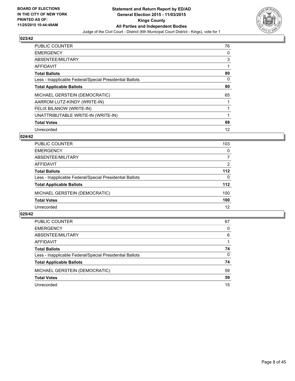

| <b>PUBLIC COUNTER</b>                                    | 76 |
|----------------------------------------------------------|----|
| <b>EMERGENCY</b>                                         | 0  |
| ABSENTEE/MILITARY                                        | 3  |
| <b>AFFIDAVIT</b>                                         |    |
| <b>Total Ballots</b>                                     | 80 |
| Less - Inapplicable Federal/Special Presidential Ballots | 0  |
| <b>Total Applicable Ballots</b>                          | 80 |
| MICHAEL GERSTEIN (DEMOCRATIC)                            | 65 |
| AARROM LUTZ-KINDY (WRITE-IN)                             |    |
| FELIX BILANOW (WRITE-IN)                                 |    |
| UNATTRIBUTABLE WRITE-IN (WRITE-IN)                       |    |
| <b>Total Votes</b>                                       | 68 |
| Unrecorded                                               | 12 |

#### **024/42**

| PUBLIC COUNTER                                           | 103      |
|----------------------------------------------------------|----------|
| <b>EMERGENCY</b>                                         | 0        |
| ABSENTEE/MILITARY                                        |          |
| AFFIDAVIT                                                | 2        |
| <b>Total Ballots</b>                                     | 112      |
| Less - Inapplicable Federal/Special Presidential Ballots | $\Omega$ |
| <b>Total Applicable Ballots</b>                          | 112      |
| MICHAEL GERSTEIN (DEMOCRATIC)                            | 100      |
| <b>Total Votes</b>                                       | 100      |
| Unrecorded                                               | 12       |
|                                                          |          |

| <b>PUBLIC COUNTER</b>                                    | 67 |
|----------------------------------------------------------|----|
| <b>EMERGENCY</b>                                         | 0  |
| ABSENTEE/MILITARY                                        | 6  |
| AFFIDAVIT                                                |    |
| <b>Total Ballots</b>                                     | 74 |
| Less - Inapplicable Federal/Special Presidential Ballots | 0  |
| <b>Total Applicable Ballots</b>                          | 74 |
| MICHAEL GERSTEIN (DEMOCRATIC)                            | 59 |
| <b>Total Votes</b>                                       | 59 |
| Unrecorded                                               | 15 |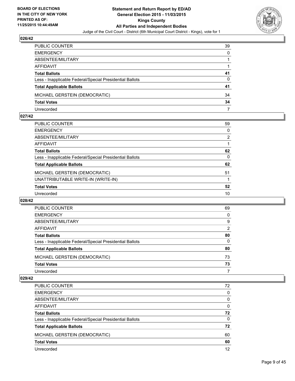

| PUBLIC COUNTER                                           | 39           |
|----------------------------------------------------------|--------------|
| EMERGENCY                                                | $\mathbf{0}$ |
| ABSENTEE/MILITARY                                        |              |
| AFFIDAVIT                                                |              |
| Total Ballots                                            | 41           |
| Less - Inapplicable Federal/Special Presidential Ballots | 0            |
| <b>Total Applicable Ballots</b>                          | 41           |
| MICHAEL GERSTEIN (DEMOCRATIC)                            | 34           |
| <b>Total Votes</b>                                       | 34           |
| Unrecorded                                               |              |

#### **027/42**

| <b>PUBLIC COUNTER</b>                                    | 59             |
|----------------------------------------------------------|----------------|
| <b>EMERGENCY</b>                                         | 0              |
| ABSENTEE/MILITARY                                        | $\overline{2}$ |
| AFFIDAVIT                                                |                |
| <b>Total Ballots</b>                                     | 62             |
| Less - Inapplicable Federal/Special Presidential Ballots | 0              |
| <b>Total Applicable Ballots</b>                          | 62             |
| MICHAEL GERSTEIN (DEMOCRATIC)                            | 51             |
| UNATTRIBUTABLE WRITE-IN (WRITE-IN)                       |                |
| <b>Total Votes</b>                                       | 52             |
| Unrecorded                                               | 10             |
|                                                          |                |

#### **028/42**

| PUBLIC COUNTER                                           | 69             |
|----------------------------------------------------------|----------------|
| <b>EMERGENCY</b>                                         | 0              |
| ABSENTEE/MILITARY                                        | 9              |
| AFFIDAVIT                                                | $\overline{2}$ |
| <b>Total Ballots</b>                                     | 80             |
| Less - Inapplicable Federal/Special Presidential Ballots | 0              |
| <b>Total Applicable Ballots</b>                          | 80             |
| MICHAEL GERSTEIN (DEMOCRATIC)                            | 73             |
| <b>Total Votes</b>                                       | 73             |
| Unrecorded                                               |                |

| PUBLIC COUNTER                                           | 72 |
|----------------------------------------------------------|----|
| <b>EMERGENCY</b>                                         | 0  |
| ABSENTEE/MILITARY                                        | 0  |
| AFFIDAVIT                                                | 0  |
| <b>Total Ballots</b>                                     | 72 |
| Less - Inapplicable Federal/Special Presidential Ballots | 0  |
| <b>Total Applicable Ballots</b>                          | 72 |
| MICHAEL GERSTEIN (DEMOCRATIC)                            | 60 |
| <b>Total Votes</b>                                       | 60 |
| Unrecorded                                               | 12 |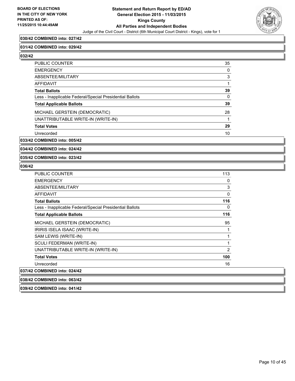

#### **030/42 COMBINED into: 027/42**

#### **031/42 COMBINED into: 029/42**

**032/42** 

| <b>PUBLIC COUNTER</b>                                    | 35 |
|----------------------------------------------------------|----|
| <b>EMERGENCY</b>                                         | 0  |
| ABSENTEE/MILITARY                                        | 3  |
| AFFIDAVIT                                                |    |
| <b>Total Ballots</b>                                     | 39 |
| Less - Inapplicable Federal/Special Presidential Ballots | 0  |
| <b>Total Applicable Ballots</b>                          | 39 |
| MICHAEL GERSTEIN (DEMOCRATIC)                            | 28 |
| UNATTRIBUTABLE WRITE-IN (WRITE-IN)                       | 1  |
| <b>Total Votes</b>                                       | 29 |
| Unrecorded                                               | 10 |

#### **033/42 COMBINED into: 005/42**

**034/42 COMBINED into: 024/42**

#### **035/42 COMBINED into: 023/42**

**039/42 COMBINED into: 041/42**

| <b>PUBLIC COUNTER</b>                                    | 113            |
|----------------------------------------------------------|----------------|
| <b>EMERGENCY</b>                                         | 0              |
| ABSENTEE/MILITARY                                        | 3              |
| AFFIDAVIT                                                | 0              |
| <b>Total Ballots</b>                                     | 116            |
| Less - Inapplicable Federal/Special Presidential Ballots | 0              |
| <b>Total Applicable Ballots</b>                          | 116            |
| MICHAEL GERSTEIN (DEMOCRATIC)                            | 95             |
| IRIRIS ISELA ISAAC (WRITE-IN)                            | 1              |
| SAM LEWIS (WRITE-IN)                                     | 1              |
| SCULI FEDERMAN (WRITE-IN)                                | 1              |
| UNATTRIBUTABLE WRITE-IN (WRITE-IN)                       | $\overline{2}$ |
| <b>Total Votes</b>                                       | 100            |
| Unrecorded                                               | 16             |
| 037/42 COMBINED into: 024/42                             |                |
| 038/42 COMBINED into: 063/42                             |                |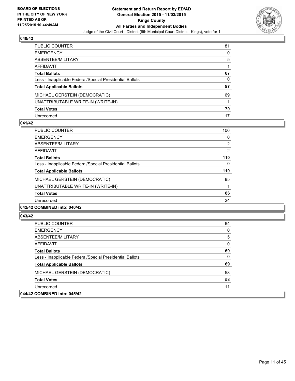

| PUBLIC COUNTER                                           | 81 |
|----------------------------------------------------------|----|
| <b>EMERGENCY</b>                                         | 0  |
| ABSENTEE/MILITARY                                        | 5  |
| AFFIDAVIT                                                |    |
| <b>Total Ballots</b>                                     | 87 |
| Less - Inapplicable Federal/Special Presidential Ballots | 0  |
| <b>Total Applicable Ballots</b>                          | 87 |
| MICHAEL GERSTEIN (DEMOCRATIC)                            | 69 |
| UNATTRIBUTABLE WRITE-IN (WRITE-IN)                       |    |
| <b>Total Votes</b>                                       | 70 |
| Unrecorded                                               | 17 |

#### **041/42**

| <b>PUBLIC COUNTER</b>                                    | 106            |
|----------------------------------------------------------|----------------|
| <b>EMERGENCY</b>                                         | 0              |
| ABSENTEE/MILITARY                                        | $\overline{2}$ |
| <b>AFFIDAVIT</b>                                         | $\overline{2}$ |
| <b>Total Ballots</b>                                     | 110            |
| Less - Inapplicable Federal/Special Presidential Ballots | 0              |
| <b>Total Applicable Ballots</b>                          | 110            |
| MICHAEL GERSTEIN (DEMOCRATIC)                            | 85             |
| UNATTRIBUTABLE WRITE-IN (WRITE-IN)                       |                |
| <b>Total Votes</b>                                       | 86             |
| Unrecorded                                               | 24             |
|                                                          |                |

#### **042/42 COMBINED into: 040/42**

| <b>PUBLIC COUNTER</b>                                    | 64 |
|----------------------------------------------------------|----|
| <b>EMERGENCY</b>                                         | 0  |
| ABSENTEE/MILITARY                                        | 5  |
| AFFIDAVIT                                                | 0  |
| <b>Total Ballots</b>                                     | 69 |
| Less - Inapplicable Federal/Special Presidential Ballots | 0  |
| <b>Total Applicable Ballots</b>                          | 69 |
| MICHAEL GERSTEIN (DEMOCRATIC)                            | 58 |
| <b>Total Votes</b>                                       | 58 |
| Unrecorded                                               | 11 |
| 044/42 COMBINED into: 045/42                             |    |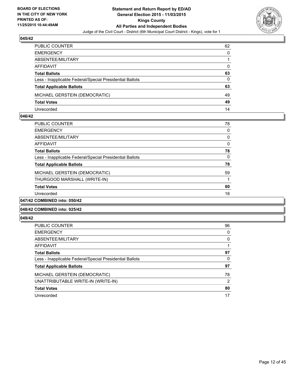

| PUBLIC COUNTER                                           | 62           |
|----------------------------------------------------------|--------------|
| <b>EMERGENCY</b>                                         | $\Omega$     |
| ABSENTEE/MILITARY                                        |              |
| AFFIDAVIT                                                | $\mathbf{0}$ |
| <b>Total Ballots</b>                                     | 63           |
| Less - Inapplicable Federal/Special Presidential Ballots | 0            |
| <b>Total Applicable Ballots</b>                          | 63           |
| MICHAEL GERSTEIN (DEMOCRATIC)                            | 49           |
| <b>Total Votes</b>                                       | 49           |
| Unrecorded                                               | 14           |

#### **046/42**

| <b>PUBLIC COUNTER</b>                                    | 78           |
|----------------------------------------------------------|--------------|
| <b>EMERGENCY</b>                                         | 0            |
| ABSENTEE/MILITARY                                        | 0            |
| AFFIDAVIT                                                | $\mathbf{0}$ |
| <b>Total Ballots</b>                                     | 78           |
| Less - Inapplicable Federal/Special Presidential Ballots | 0            |
| <b>Total Applicable Ballots</b>                          | 78           |
| MICHAEL GERSTEIN (DEMOCRATIC)                            | 59           |
| THURGOOD MARSHALL (WRITE-IN)                             |              |
| <b>Total Votes</b>                                       | 60           |
| Unrecorded                                               | 18           |
| 047/42 COMBINED into: 050/42                             |              |

#### **048/42 COMBINED into: 025/42**

| <b>PUBLIC COUNTER</b>                                    | 96 |
|----------------------------------------------------------|----|
| <b>EMERGENCY</b>                                         | 0  |
| ABSENTEE/MILITARY                                        | 0  |
| <b>AFFIDAVIT</b>                                         |    |
| <b>Total Ballots</b>                                     | 97 |
| Less - Inapplicable Federal/Special Presidential Ballots | 0  |
| <b>Total Applicable Ballots</b>                          | 97 |
| MICHAEL GERSTEIN (DEMOCRATIC)                            | 78 |
| UNATTRIBUTABLE WRITE-IN (WRITE-IN)                       | 2  |
| <b>Total Votes</b>                                       | 80 |
| Unrecorded                                               | 17 |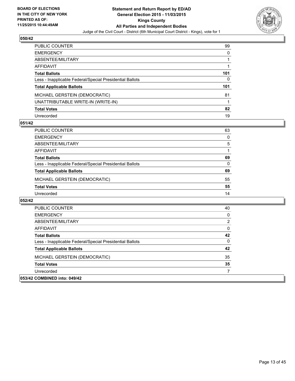

| PUBLIC COUNTER                                           | 99  |
|----------------------------------------------------------|-----|
| <b>EMERGENCY</b>                                         | 0   |
| ABSENTEE/MILITARY                                        |     |
| AFFIDAVIT                                                |     |
| <b>Total Ballots</b>                                     | 101 |
| Less - Inapplicable Federal/Special Presidential Ballots | 0   |
| <b>Total Applicable Ballots</b>                          | 101 |
| MICHAEL GERSTEIN (DEMOCRATIC)                            | 81  |
| UNATTRIBUTABLE WRITE-IN (WRITE-IN)                       |     |
| <b>Total Votes</b>                                       | 82  |
| Unrecorded                                               | 19  |

#### **051/42**

| PUBLIC COUNTER                                           | 63 |
|----------------------------------------------------------|----|
| <b>EMERGENCY</b>                                         | 0  |
| ABSENTEE/MILITARY                                        | 5  |
| AFFIDAVIT                                                |    |
| <b>Total Ballots</b>                                     | 69 |
| Less - Inapplicable Federal/Special Presidential Ballots | 0  |
| <b>Total Applicable Ballots</b>                          | 69 |
| MICHAEL GERSTEIN (DEMOCRATIC)                            | 55 |
| <b>Total Votes</b>                                       | 55 |
| Unrecorded                                               | 14 |

| PUBLIC COUNTER                                           | 40 |
|----------------------------------------------------------|----|
| <b>EMERGENCY</b>                                         | 0  |
| ABSENTEE/MILITARY                                        | 2  |
| AFFIDAVIT                                                | 0  |
| <b>Total Ballots</b>                                     | 42 |
| Less - Inapplicable Federal/Special Presidential Ballots | 0  |
| <b>Total Applicable Ballots</b>                          | 42 |
| MICHAEL GERSTEIN (DEMOCRATIC)                            | 35 |
| <b>Total Votes</b>                                       | 35 |
| Unrecorded                                               |    |
| 053/42 COMBINED into: 049/42                             |    |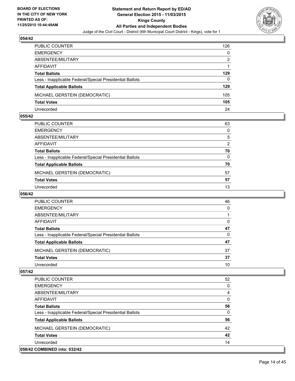

| PUBLIC COUNTER                                           | 126      |
|----------------------------------------------------------|----------|
| <b>EMERGENCY</b>                                         | $\Omega$ |
| ABSENTEE/MILITARY                                        | 2        |
| AFFIDAVIT                                                |          |
| <b>Total Ballots</b>                                     | 129      |
| Less - Inapplicable Federal/Special Presidential Ballots | $\Omega$ |
| <b>Total Applicable Ballots</b>                          | 129      |
| MICHAEL GERSTEIN (DEMOCRATIC)                            | 105      |
| <b>Total Votes</b>                                       | 105      |
| Unrecorded                                               | 24       |

#### **055/42**

| PUBLIC COUNTER                                           | 63           |
|----------------------------------------------------------|--------------|
| EMERGENCY                                                | $\mathbf{0}$ |
| ABSENTEE/MILITARY                                        | 5            |
| AFFIDAVIT                                                | 2            |
| <b>Total Ballots</b>                                     | 70           |
| Less - Inapplicable Federal/Special Presidential Ballots | $\mathbf{0}$ |
| <b>Total Applicable Ballots</b>                          | 70           |
| MICHAEL GERSTEIN (DEMOCRATIC)                            | 57           |
| <b>Total Votes</b>                                       | 57           |
| Unrecorded                                               | 13           |
|                                                          |              |

## **056/42**

| 46 |
|----|
| 0  |
|    |
| 0  |
| 47 |
| 0  |
| 47 |
| 37 |
| 37 |
| 10 |
|    |

| <b>PUBLIC COUNTER</b>                                    | 52 |
|----------------------------------------------------------|----|
| <b>EMERGENCY</b>                                         | 0  |
| ABSENTEE/MILITARY                                        | 4  |
| <b>AFFIDAVIT</b>                                         | 0  |
| <b>Total Ballots</b>                                     | 56 |
| Less - Inapplicable Federal/Special Presidential Ballots | 0  |
| <b>Total Applicable Ballots</b>                          | 56 |
| MICHAEL GERSTEIN (DEMOCRATIC)                            | 42 |
| <b>Total Votes</b>                                       | 42 |
| Unrecorded                                               | 14 |
| 058/42 COMBINED into: 032/42                             |    |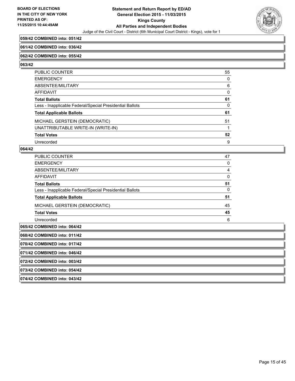

#### **059/42 COMBINED into: 051/42**

#### **061/42 COMBINED into: 036/42**

#### **062/42 COMBINED into: 055/42**

**063/42** 

| PUBLIC COUNTER                                           | 55 |
|----------------------------------------------------------|----|
| <b>EMERGENCY</b>                                         | 0  |
| ABSENTEE/MILITARY                                        | 6  |
| <b>AFFIDAVIT</b>                                         | 0  |
| <b>Total Ballots</b>                                     | 61 |
| Less - Inapplicable Federal/Special Presidential Ballots | 0  |
| <b>Total Applicable Ballots</b>                          | 61 |
| MICHAEL GERSTEIN (DEMOCRATIC)                            | 51 |
| UNATTRIBUTABLE WRITE-IN (WRITE-IN)                       |    |
| <b>Total Votes</b>                                       | 52 |
| Unrecorded                                               | 9  |

#### **064/42**

| <b>PUBLIC COUNTER</b>                                    | 47 |
|----------------------------------------------------------|----|
| <b>EMERGENCY</b>                                         | 0  |
| ABSENTEE/MILITARY                                        | 4  |
| <b>AFFIDAVIT</b>                                         | 0  |
| <b>Total Ballots</b>                                     | 51 |
| Less - Inapplicable Federal/Special Presidential Ballots | 0  |
| <b>Total Applicable Ballots</b>                          | 51 |
| MICHAEL GERSTEIN (DEMOCRATIC)                            | 45 |
| <b>Total Votes</b>                                       | 45 |
| Unrecorded                                               | 6  |
| 065/42 COMBINED into: 064/42                             |    |

**068/42 COMBINED into: 011/42**

**070/42 COMBINED into: 017/42**

**071/42 COMBINED into: 046/42**

**072/42 COMBINED into: 003/42**

**073/42 COMBINED into: 054/42**

**074/42 COMBINED into: 043/42**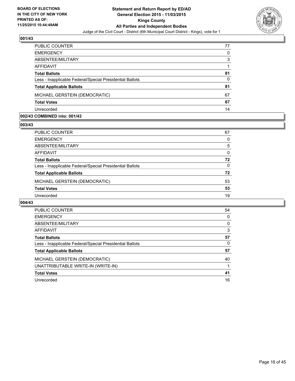

| PUBLIC COUNTER                                           | 77 |
|----------------------------------------------------------|----|
| <b>EMERGENCY</b>                                         | 0  |
| ABSENTEE/MILITARY                                        | 3  |
| <b>AFFIDAVIT</b>                                         |    |
| <b>Total Ballots</b>                                     | 81 |
| Less - Inapplicable Federal/Special Presidential Ballots | 0  |
| <b>Total Applicable Ballots</b>                          | 81 |
| MICHAEL GERSTEIN (DEMOCRATIC)                            | 67 |
| <b>Total Votes</b>                                       | 67 |
| Unrecorded                                               | 14 |

#### **002/43 COMBINED into: 001/43**

**003/43** 

| PUBLIC COUNTER                                           | 67 |
|----------------------------------------------------------|----|
| <b>EMERGENCY</b>                                         | 0  |
| ABSENTEE/MILITARY                                        | 5  |
| <b>AFFIDAVIT</b>                                         | 0  |
| <b>Total Ballots</b>                                     | 72 |
| Less - Inapplicable Federal/Special Presidential Ballots | 0  |
| <b>Total Applicable Ballots</b>                          | 72 |
| MICHAEL GERSTEIN (DEMOCRATIC)                            | 53 |
| <b>Total Votes</b>                                       | 53 |
| Unrecorded                                               | 19 |
|                                                          |    |

| <b>PUBLIC COUNTER</b>                                    | 54 |
|----------------------------------------------------------|----|
| <b>EMERGENCY</b>                                         | 0  |
| ABSENTEE/MILITARY                                        | 0  |
| <b>AFFIDAVIT</b>                                         | 3  |
| <b>Total Ballots</b>                                     | 57 |
| Less - Inapplicable Federal/Special Presidential Ballots | 0  |
| <b>Total Applicable Ballots</b>                          | 57 |
| MICHAEL GERSTEIN (DEMOCRATIC)                            | 40 |
| UNATTRIBUTABLE WRITE-IN (WRITE-IN)                       |    |
| <b>Total Votes</b>                                       | 41 |
| Unrecorded                                               | 16 |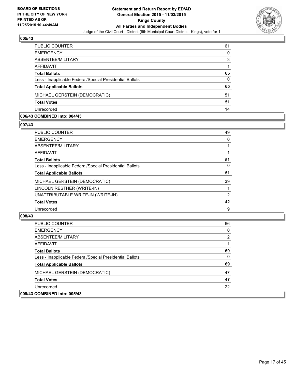

| PUBLIC COUNTER                                           | 61 |
|----------------------------------------------------------|----|
| <b>EMERGENCY</b>                                         | 0  |
| ABSENTEE/MILITARY                                        | 3  |
| <b>AFFIDAVIT</b>                                         |    |
| <b>Total Ballots</b>                                     | 65 |
| Less - Inapplicable Federal/Special Presidential Ballots | 0  |
| <b>Total Applicable Ballots</b>                          | 65 |
| MICHAEL GERSTEIN (DEMOCRATIC)                            | 51 |
| <b>Total Votes</b>                                       | 51 |
| Unrecorded                                               | 14 |

#### **006/43 COMBINED into: 004/43**

**007/43** 

| <b>PUBLIC COUNTER</b>                                    | 49 |
|----------------------------------------------------------|----|
| <b>EMERGENCY</b>                                         | 0  |
| ABSENTEE/MILITARY                                        |    |
| <b>AFFIDAVIT</b>                                         |    |
| <b>Total Ballots</b>                                     | 51 |
| Less - Inapplicable Federal/Special Presidential Ballots | 0  |
| <b>Total Applicable Ballots</b>                          | 51 |
| MICHAEL GERSTEIN (DEMOCRATIC)                            | 39 |
| LINCOLN RESTHER (WRITE-IN)                               |    |
| UNATTRIBUTABLE WRITE-IN (WRITE-IN)                       | 2  |
| <b>Total Votes</b>                                       | 42 |
| Unrecorded                                               | 9  |
|                                                          |    |

| <b>PUBLIC COUNTER</b>                                    | 66 |
|----------------------------------------------------------|----|
| <b>EMERGENCY</b>                                         | 0  |
| ABSENTEE/MILITARY                                        | 2  |
| AFFIDAVIT                                                |    |
| <b>Total Ballots</b>                                     | 69 |
| Less - Inapplicable Federal/Special Presidential Ballots | 0  |
| <b>Total Applicable Ballots</b>                          | 69 |
| MICHAEL GERSTEIN (DEMOCRATIC)                            | 47 |
| <b>Total Votes</b>                                       | 47 |
| Unrecorded                                               | 22 |
| 009/43 COMBINED into: 005/43                             |    |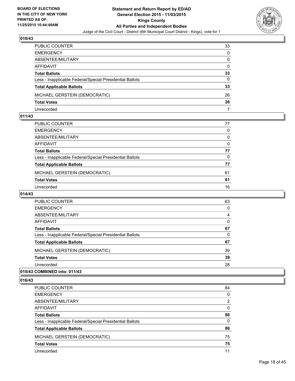

| PUBLIC COUNTER                                           | 33           |
|----------------------------------------------------------|--------------|
| <b>EMERGENCY</b>                                         | $\Omega$     |
| ABSENTEE/MILITARY                                        | $\mathbf{0}$ |
| AFFIDAVIT                                                | $\mathbf{0}$ |
| <b>Total Ballots</b>                                     | 33           |
| Less - Inapplicable Federal/Special Presidential Ballots | $\Omega$     |
| <b>Total Applicable Ballots</b>                          | 33           |
| MICHAEL GERSTEIN (DEMOCRATIC)                            | 26           |
| <b>Total Votes</b>                                       | 26           |
| Unrecorded                                               | 7            |

#### **011/43**

| PUBLIC COUNTER                                           | 77 |
|----------------------------------------------------------|----|
| EMERGENCY                                                | 0  |
| ABSENTEE/MILITARY                                        | 0  |
| AFFIDAVIT                                                | 0  |
| Total Ballots                                            | 77 |
| Less - Inapplicable Federal/Special Presidential Ballots | 0  |
| <b>Total Applicable Ballots</b>                          | 77 |
| MICHAEL GERSTEIN (DEMOCRATIC)                            | 61 |
| Total Votes                                              | 61 |
| Unrecorded                                               | 16 |

# **014/43**

| <b>PUBLIC COUNTER</b>                                    | 63 |
|----------------------------------------------------------|----|
| <b>EMERGENCY</b>                                         | 0  |
| ABSENTEE/MILITARY                                        | 4  |
| AFFIDAVIT                                                | 0  |
| <b>Total Ballots</b>                                     | 67 |
| Less - Inapplicable Federal/Special Presidential Ballots | 0  |
| <b>Total Applicable Ballots</b>                          | 67 |
| MICHAEL GERSTEIN (DEMOCRATIC)                            | 39 |
| <b>Total Votes</b>                                       | 39 |
| Unrecorded                                               | 28 |
|                                                          |    |

# **015/43 COMBINED into: 011/43**

| PUBLIC COUNTER                                           | 84 |
|----------------------------------------------------------|----|
| <b>EMERGENCY</b>                                         | 0  |
| ABSENTEE/MILITARY                                        | 2  |
| <b>AFFIDAVIT</b>                                         | 0  |
| <b>Total Ballots</b>                                     | 86 |
| Less - Inapplicable Federal/Special Presidential Ballots | 0  |
| <b>Total Applicable Ballots</b>                          | 86 |
| MICHAEL GERSTEIN (DEMOCRATIC)                            | 75 |
| <b>Total Votes</b>                                       | 75 |
| Unrecorded                                               | 11 |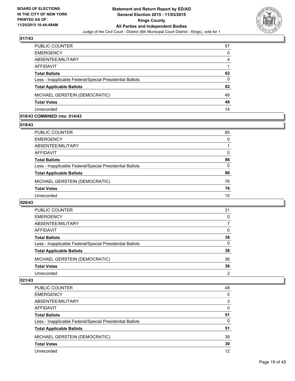

| PUBLIC COUNTER                                           | 57 |
|----------------------------------------------------------|----|
| <b>EMERGENCY</b>                                         | 0  |
| ABSENTEE/MILITARY                                        | 4  |
| AFFIDAVIT                                                |    |
| <b>Total Ballots</b>                                     | 62 |
| Less - Inapplicable Federal/Special Presidential Ballots | 0  |
| <b>Total Applicable Ballots</b>                          | 62 |
| MICHAEL GERSTEIN (DEMOCRATIC)                            | 48 |
| <b>Total Votes</b>                                       | 48 |
| Unrecorded                                               | 14 |

#### **018/43 COMBINED into: 014/43**

**019/43** 

| PUBLIC COUNTER                                           | 85       |
|----------------------------------------------------------|----------|
| <b>EMERGENCY</b>                                         | 0        |
| ABSENTEE/MILITARY                                        |          |
| <b>AFFIDAVIT</b>                                         | 0        |
| <b>Total Ballots</b>                                     | 86       |
| Less - Inapplicable Federal/Special Presidential Ballots | $\Omega$ |
| <b>Total Applicable Ballots</b>                          | 86       |
| MICHAEL GERSTEIN (DEMOCRATIC)                            | 76       |
| <b>Total Votes</b>                                       | 76       |
| Unrecorded                                               | 10       |
|                                                          |          |

## **020/43**

| PUBLIC COUNTER                                           | 31 |
|----------------------------------------------------------|----|
| <b>EMERGENCY</b>                                         | 0  |
| ABSENTEE/MILITARY                                        |    |
| AFFIDAVIT                                                | 0  |
| <b>Total Ballots</b>                                     | 38 |
| Less - Inapplicable Federal/Special Presidential Ballots | 0  |
| <b>Total Applicable Ballots</b>                          | 38 |
| MICHAEL GERSTEIN (DEMOCRATIC)                            | 36 |
| <b>Total Votes</b>                                       | 36 |
| Unrecorded                                               | 2  |

| PUBLIC COUNTER                                           | 48 |
|----------------------------------------------------------|----|
| <b>EMERGENCY</b>                                         | 0  |
| ABSENTEE/MILITARY                                        | 3  |
| AFFIDAVIT                                                | 0  |
| <b>Total Ballots</b>                                     | 51 |
| Less - Inapplicable Federal/Special Presidential Ballots | 0  |
| <b>Total Applicable Ballots</b>                          | 51 |
| MICHAEL GERSTEIN (DEMOCRATIC)                            | 39 |
| <b>Total Votes</b>                                       | 39 |
| Unrecorded                                               | 12 |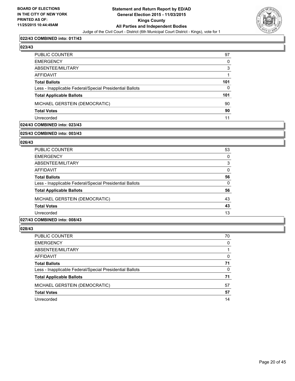

#### **022/43 COMBINED into: 017/43**

# **023/43**

| PUBLIC COUNTER                                           | 97       |
|----------------------------------------------------------|----------|
| EMERGENCY                                                | 0        |
| ABSENTEE/MILITARY                                        | 3        |
| AFFIDAVIT                                                |          |
| <b>Total Ballots</b>                                     | 101      |
| Less - Inapplicable Federal/Special Presidential Ballots | $\Omega$ |
| <b>Total Applicable Ballots</b>                          | 101      |
| MICHAEL GERSTEIN (DEMOCRATIC)                            | 90       |
| Total Votes                                              | 90       |
| Unrecorded                                               | 11       |

#### **024/43 COMBINED into: 023/43**

#### **025/43 COMBINED into: 003/43**

#### **026/43**

| <b>PUBLIC COUNTER</b>                                    | 53 |
|----------------------------------------------------------|----|
| <b>EMERGENCY</b>                                         | 0  |
| ABSENTEE/MILITARY                                        | 3  |
| <b>AFFIDAVIT</b>                                         | 0  |
| <b>Total Ballots</b>                                     | 56 |
| Less - Inapplicable Federal/Special Presidential Ballots | 0  |
| <b>Total Applicable Ballots</b>                          | 56 |
| MICHAEL GERSTEIN (DEMOCRATIC)                            | 43 |
| <b>Total Votes</b>                                       | 43 |
| Unrecorded                                               | 13 |
| 0.01101100                                               |    |

#### **027/43 COMBINED into: 008/43**

| <b>PUBLIC COUNTER</b>                                    | 70       |
|----------------------------------------------------------|----------|
| <b>EMERGENCY</b>                                         | $\Omega$ |
| ABSENTEE/MILITARY                                        |          |
| AFFIDAVIT                                                | 0        |
| <b>Total Ballots</b>                                     | 71       |
| Less - Inapplicable Federal/Special Presidential Ballots | 0        |
| <b>Total Applicable Ballots</b>                          | 71       |
| MICHAEL GERSTEIN (DEMOCRATIC)                            | 57       |
| <b>Total Votes</b>                                       | 57       |
| Unrecorded                                               | 14       |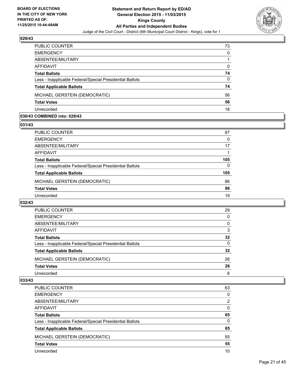

| PUBLIC COUNTER                                           | 73       |
|----------------------------------------------------------|----------|
| <b>EMERGENCY</b>                                         | $\Omega$ |
| ABSENTEE/MILITARY                                        |          |
| <b>AFFIDAVIT</b>                                         | 0        |
| <b>Total Ballots</b>                                     | 74       |
| Less - Inapplicable Federal/Special Presidential Ballots | $\Omega$ |
| <b>Total Applicable Ballots</b>                          | 74       |
| MICHAEL GERSTEIN (DEMOCRATIC)                            | 56       |
| <b>Total Votes</b>                                       | 56       |
| Unrecorded                                               | 18       |

#### **030/43 COMBINED into: 029/43**

**031/43** 

| PUBLIC COUNTER                                           | 87  |
|----------------------------------------------------------|-----|
| <b>EMERGENCY</b>                                         | 0   |
| ABSENTEE/MILITARY                                        | 17  |
| <b>AFFIDAVIT</b>                                         |     |
| <b>Total Ballots</b>                                     | 105 |
| Less - Inapplicable Federal/Special Presidential Ballots | 0   |
| <b>Total Applicable Ballots</b>                          | 105 |
| MICHAEL GERSTEIN (DEMOCRATIC)                            | 86  |
| <b>Total Votes</b>                                       | 86  |
| Unrecorded                                               | 19  |
|                                                          |     |

## **032/43**

| <b>PUBLIC COUNTER</b>                                    | 29 |
|----------------------------------------------------------|----|
| <b>EMERGENCY</b>                                         | 0  |
| ABSENTEE/MILITARY                                        | 0  |
| <b>AFFIDAVIT</b>                                         | 3  |
| <b>Total Ballots</b>                                     | 32 |
| Less - Inapplicable Federal/Special Presidential Ballots | 0  |
| <b>Total Applicable Ballots</b>                          | 32 |
| MICHAEL GERSTEIN (DEMOCRATIC)                            | 26 |
| <b>Total Votes</b>                                       | 26 |
| Unrecorded                                               | 6  |

| PUBLIC COUNTER                                           | 63 |
|----------------------------------------------------------|----|
| <b>EMERGENCY</b>                                         | 0  |
| ABSENTEE/MILITARY                                        | 2  |
| AFFIDAVIT                                                | 0  |
| <b>Total Ballots</b>                                     | 65 |
| Less - Inapplicable Federal/Special Presidential Ballots | 0  |
| <b>Total Applicable Ballots</b>                          | 65 |
| MICHAEL GERSTEIN (DEMOCRATIC)                            | 55 |
| <b>Total Votes</b>                                       | 55 |
| Unrecorded                                               | 10 |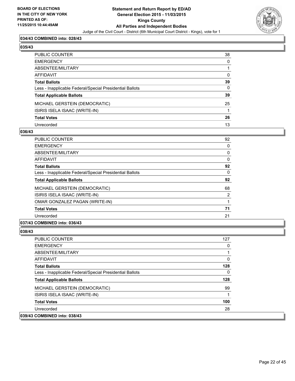

## **034/43 COMBINED into: 028/43**

# **035/43**

| PUBLIC COUNTER                                           | 38           |
|----------------------------------------------------------|--------------|
| EMERGENCY                                                | $\mathbf{0}$ |
| ABSENTEE/MILITARY                                        |              |
| AFFIDAVIT                                                | $\Omega$     |
| Total Ballots                                            | 39           |
| Less - Inapplicable Federal/Special Presidential Ballots | $\mathbf{0}$ |
| <b>Total Applicable Ballots</b>                          | 39           |
| MICHAEL GERSTEIN (DEMOCRATIC)                            | 25           |
| ISIRIS ISELA ISAAC (WRITE-IN)                            |              |
| <b>Total Votes</b>                                       | 26           |
| Unrecorded                                               | 13           |

#### **036/43**

| PUBLIC COUNTER                                           | 92 |
|----------------------------------------------------------|----|
| <b>EMERGENCY</b>                                         | 0  |
| ABSENTEE/MILITARY                                        | 0  |
| AFFIDAVIT                                                | 0  |
| <b>Total Ballots</b>                                     | 92 |
| Less - Inapplicable Federal/Special Presidential Ballots | 0  |
| <b>Total Applicable Ballots</b>                          | 92 |
| MICHAEL GERSTEIN (DEMOCRATIC)                            | 68 |
| ISIRIS ISELA ISAAC (WRITE-IN)                            | 2  |
| OMAR GONZALEZ PAGAN (WRITE-IN)                           | 1  |
| <b>Total Votes</b>                                       | 71 |
| Unrecorded                                               | 21 |
|                                                          |    |

# **037/43 COMBINED into: 036/43**

| <b>PUBLIC COUNTER</b>                                    | 127 |
|----------------------------------------------------------|-----|
| <b>EMERGENCY</b>                                         |     |
| ABSENTEE/MILITARY                                        |     |
| AFFIDAVIT                                                | 0   |
| <b>Total Ballots</b>                                     | 128 |
| Less - Inapplicable Federal/Special Presidential Ballots | 0   |
| <b>Total Applicable Ballots</b>                          | 128 |
| MICHAEL GERSTEIN (DEMOCRATIC)                            | 99  |
| ISIRIS ISELA ISAAC (WRITE-IN)                            |     |
| <b>Total Votes</b>                                       | 100 |
| Unrecorded                                               | 28  |
| 039/43 COMBINED into: 038/43                             |     |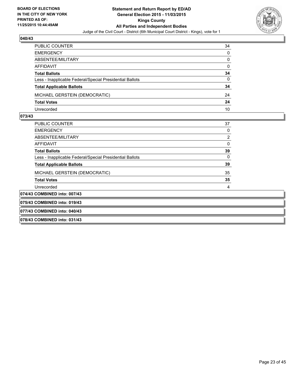

| PUBLIC COUNTER                                           | 34           |
|----------------------------------------------------------|--------------|
| <b>EMERGENCY</b>                                         | $\mathbf{0}$ |
| ABSENTEE/MILITARY                                        | $\Omega$     |
| AFFIDAVIT                                                | $\Omega$     |
| <b>Total Ballots</b>                                     | 34           |
| Less - Inapplicable Federal/Special Presidential Ballots | 0            |
| <b>Total Applicable Ballots</b>                          | 34           |
| MICHAEL GERSTEIN (DEMOCRATIC)                            | 24           |
| <b>Total Votes</b>                                       | 24           |
| Unrecorded                                               | 10           |

| <b>PUBLIC COUNTER</b>                                    | 37 |  |
|----------------------------------------------------------|----|--|
| <b>EMERGENCY</b>                                         | 0  |  |
| ABSENTEE/MILITARY                                        | 2  |  |
| AFFIDAVIT                                                | 0  |  |
| <b>Total Ballots</b>                                     | 39 |  |
| Less - Inapplicable Federal/Special Presidential Ballots | 0  |  |
| <b>Total Applicable Ballots</b>                          | 39 |  |
| MICHAEL GERSTEIN (DEMOCRATIC)                            | 35 |  |
| <b>Total Votes</b>                                       | 35 |  |
| Unrecorded                                               | 4  |  |
| 074/43 COMBINED into: 007/43                             |    |  |
| 075/43 COMBINED into: 019/43                             |    |  |
| 077/43 COMBINED into: 040/43                             |    |  |
| 078/43 COMBINED into: 031/43                             |    |  |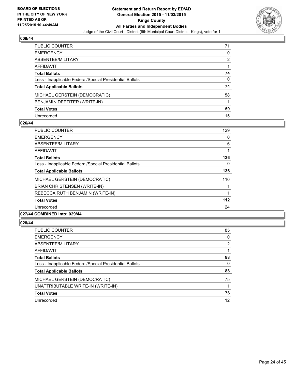

| PUBLIC COUNTER                                           | 71 |
|----------------------------------------------------------|----|
| <b>EMERGENCY</b>                                         | 0  |
| ABSENTEE/MILITARY                                        | 2  |
| AFFIDAVIT                                                |    |
| <b>Total Ballots</b>                                     | 74 |
| Less - Inapplicable Federal/Special Presidential Ballots | 0  |
| <b>Total Applicable Ballots</b>                          | 74 |
| MICHAEL GERSTEIN (DEMOCRATIC)                            | 58 |
| BENJAMIN DEPTITER (WRITE-IN)                             |    |
| <b>Total Votes</b>                                       | 59 |
| Unrecorded                                               | 15 |

#### **026/44**

| <b>PUBLIC COUNTER</b>                                    | 129 |
|----------------------------------------------------------|-----|
|                                                          |     |
| <b>EMERGENCY</b>                                         | 0   |
| ABSENTEE/MILITARY                                        | 6   |
| <b>AFFIDAVIT</b>                                         |     |
| <b>Total Ballots</b>                                     | 136 |
| Less - Inapplicable Federal/Special Presidential Ballots | 0   |
| <b>Total Applicable Ballots</b>                          | 136 |
| MICHAEL GERSTEIN (DEMOCRATIC)                            | 110 |
| <b>BRIAN CHRISTENSEN (WRITE-IN)</b>                      |     |
| REBECCA RUTH BENJAMIN (WRITE-IN)                         |     |
| <b>Total Votes</b>                                       | 112 |
| Unrecorded                                               | 24  |
|                                                          |     |

## **027/44 COMBINED into: 029/44**

| <b>PUBLIC COUNTER</b>                                    | 85 |
|----------------------------------------------------------|----|
| <b>EMERGENCY</b>                                         | 0  |
| ABSENTEE/MILITARY                                        | 2  |
| AFFIDAVIT                                                |    |
| <b>Total Ballots</b>                                     | 88 |
| Less - Inapplicable Federal/Special Presidential Ballots | 0  |
| <b>Total Applicable Ballots</b>                          | 88 |
| MICHAEL GERSTEIN (DEMOCRATIC)                            | 75 |
| UNATTRIBUTABLE WRITE-IN (WRITE-IN)                       |    |
| <b>Total Votes</b>                                       | 76 |
| Unrecorded                                               | 12 |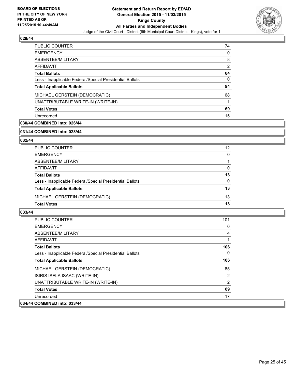

| PUBLIC COUNTER                                           | 74 |
|----------------------------------------------------------|----|
| <b>EMERGENCY</b>                                         | 0  |
| ABSENTEE/MILITARY                                        | 8  |
| AFFIDAVIT                                                | 2  |
| <b>Total Ballots</b>                                     | 84 |
| Less - Inapplicable Federal/Special Presidential Ballots | 0  |
| <b>Total Applicable Ballots</b>                          | 84 |
| MICHAEL GERSTEIN (DEMOCRATIC)                            | 68 |
| UNATTRIBUTABLE WRITE-IN (WRITE-IN)                       |    |
| <b>Total Votes</b>                                       | 69 |
| Unrecorded                                               | 15 |

# **030/44 COMBINED into: 026/44**

#### **031/44 COMBINED into: 028/44**

## **032/44**

| PUBLIC COUNTER                                           | 12 |
|----------------------------------------------------------|----|
| <b>EMERGENCY</b>                                         | 0  |
| ABSENTEE/MILITARY                                        |    |
| AFFIDAVIT                                                | 0  |
| <b>Total Ballots</b>                                     | 13 |
| Less - Inapplicable Federal/Special Presidential Ballots | 0  |
| <b>Total Applicable Ballots</b>                          | 13 |
| MICHAEL GERSTEIN (DEMOCRATIC)                            | 13 |
| <b>Total Votes</b>                                       | 13 |

| <b>PUBLIC COUNTER</b>                                    | 101            |
|----------------------------------------------------------|----------------|
| <b>EMERGENCY</b>                                         | 0              |
| ABSENTEE/MILITARY                                        | 4              |
| <b>AFFIDAVIT</b>                                         |                |
| <b>Total Ballots</b>                                     | 106            |
| Less - Inapplicable Federal/Special Presidential Ballots | 0              |
| <b>Total Applicable Ballots</b>                          | 106            |
| MICHAEL GERSTEIN (DEMOCRATIC)                            | 85             |
| ISIRIS ISELA ISAAC (WRITE-IN)                            | 2              |
| UNATTRIBUTABLE WRITE-IN (WRITE-IN)                       | $\overline{2}$ |
| <b>Total Votes</b>                                       | 89             |
| Unrecorded                                               | 17             |
| 034/44 COMBINED into: 033/44                             |                |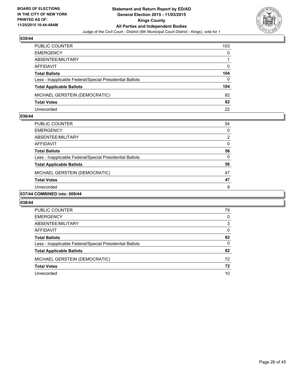

| PUBLIC COUNTER                                           | 103          |
|----------------------------------------------------------|--------------|
| <b>EMERGENCY</b>                                         | $\Omega$     |
| ABSENTEE/MILITARY                                        |              |
| AFFIDAVIT                                                | $\Omega$     |
| <b>Total Ballots</b>                                     | 104          |
| Less - Inapplicable Federal/Special Presidential Ballots | $\mathbf{0}$ |
| <b>Total Applicable Ballots</b>                          | 104          |
| MICHAEL GERSTEIN (DEMOCRATIC)                            | 82           |
| <b>Total Votes</b>                                       | 82           |
| Unrecorded                                               | 22           |

#### **036/44**

| PUBLIC COUNTER                                           | 54 |
|----------------------------------------------------------|----|
| <b>EMERGENCY</b>                                         | 0  |
| ABSENTEE/MILITARY                                        | 2  |
| <b>AFFIDAVIT</b>                                         | 0  |
| <b>Total Ballots</b>                                     | 56 |
| Less - Inapplicable Federal/Special Presidential Ballots | 0  |
| <b>Total Applicable Ballots</b>                          | 56 |
| MICHAEL GERSTEIN (DEMOCRATIC)                            | 47 |
| <b>Total Votes</b>                                       | 47 |
| Unrecorded                                               | 9  |
| -----------                                              |    |

#### **037/44 COMBINED into: 009/44**

| PUBLIC COUNTER                                           | 79 |
|----------------------------------------------------------|----|
| <b>EMERGENCY</b>                                         | 0  |
| ABSENTEE/MILITARY                                        | 3  |
| AFFIDAVIT                                                | 0  |
| <b>Total Ballots</b>                                     | 82 |
| Less - Inapplicable Federal/Special Presidential Ballots | 0  |
| <b>Total Applicable Ballots</b>                          | 82 |
| MICHAEL GERSTEIN (DEMOCRATIC)                            | 72 |
| <b>Total Votes</b>                                       | 72 |
| Unrecorded                                               | 10 |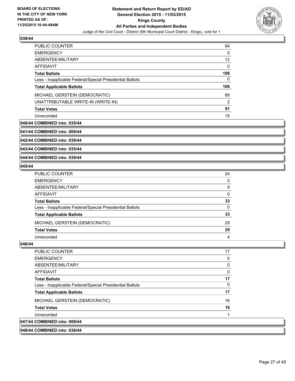

| <b>PUBLIC COUNTER</b>                                    | 94  |
|----------------------------------------------------------|-----|
| <b>EMERGENCY</b>                                         | 0   |
| ABSENTEE/MILITARY                                        | 12  |
| AFFIDAVIT                                                | 0   |
| <b>Total Ballots</b>                                     | 106 |
| Less - Inapplicable Federal/Special Presidential Ballots | 0   |
| <b>Total Applicable Ballots</b>                          | 106 |
|                                                          |     |
| MICHAEL GERSTEIN (DEMOCRATIC)                            | 89  |
| UNATTRIBUTABLE WRITE-IN (WRITE-IN)                       | 2   |
| <b>Total Votes</b>                                       | 91  |

## **040/44 COMBINED into: 035/44**

**041/44 COMBINED into: 009/44**

**042/44 COMBINED into: 039/44**

**043/44 COMBINED into: 035/44**

**044/44 COMBINED into: 039/44**

## **045/44**

| PUBLIC COUNTER                                           | 24           |
|----------------------------------------------------------|--------------|
| EMERGENCY                                                | $\mathbf{0}$ |
| ABSENTEE/MILITARY                                        | 9            |
| AFFIDAVIT                                                | 0            |
| <b>Total Ballots</b>                                     | 33           |
| Less - Inapplicable Federal/Special Presidential Ballots | $\mathbf{0}$ |
| <b>Total Applicable Ballots</b>                          | 33           |
| MICHAEL GERSTEIN (DEMOCRATIC)                            | 29           |
| <b>Total Votes</b>                                       | 29           |
| Unrecorded                                               | 4            |
|                                                          |              |

| 048/44 COMBINED into: 038/44                             |    |
|----------------------------------------------------------|----|
| 047/44 COMBINED into: 009/44                             |    |
| Unrecorded                                               | 1  |
| <b>Total Votes</b>                                       | 16 |
| MICHAEL GERSTEIN (DEMOCRATIC)                            | 16 |
| <b>Total Applicable Ballots</b>                          | 17 |
| Less - Inapplicable Federal/Special Presidential Ballots | 0  |
| <b>Total Ballots</b>                                     | 17 |
| AFFIDAVIT                                                | 0  |
| ABSENTEE/MILITARY                                        | 0  |
| <b>EMERGENCY</b>                                         | 0  |
| <b>PUBLIC COUNTER</b>                                    | 17 |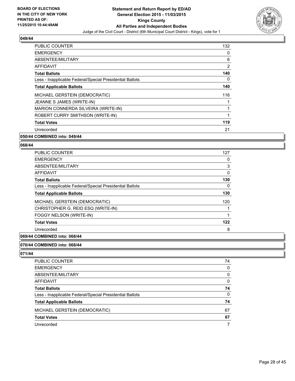

| <b>PUBLIC COUNTER</b>                                    | 132 |
|----------------------------------------------------------|-----|
| <b>EMERGENCY</b>                                         | 0   |
| ABSENTEE/MILITARY                                        | 6   |
| <b>AFFIDAVIT</b>                                         | 2   |
| <b>Total Ballots</b>                                     | 140 |
| Less - Inapplicable Federal/Special Presidential Ballots | 0   |
| <b>Total Applicable Ballots</b>                          | 140 |
| MICHAEL GERSTEIN (DEMOCRATIC)                            | 116 |
| JEANNE S JAMES (WRITE-IN)                                |     |
| MARION CONNERDA SILVEIRA (WRITE-IN)                      |     |
| ROBERT CURRY SMITHSON (WRITE-IN)                         | 1   |
| <b>Total Votes</b>                                       | 119 |
| Unrecorded                                               | 21  |
| . <i>.</i>                                               |     |

### **050/44 COMBINED into: 049/44**

#### **068/44**

| <b>PUBLIC COUNTER</b>                                    | 127 |
|----------------------------------------------------------|-----|
| <b>EMERGENCY</b>                                         | 0   |
| ABSENTEE/MILITARY                                        | 3   |
| AFFIDAVIT                                                | 0   |
| <b>Total Ballots</b>                                     | 130 |
| Less - Inapplicable Federal/Special Presidential Ballots | 0   |
| <b>Total Applicable Ballots</b>                          | 130 |
| MICHAEL GERSTEIN (DEMOCRATIC)                            | 120 |
| CHRISTOPHER G. REID ESQ (WRITE-IN)                       |     |
| FOGGY NELSON (WRITE-IN)                                  |     |
| <b>Total Votes</b>                                       | 122 |
| Unrecorded                                               | 8   |

#### **069/44 COMBINED into: 068/44**

### **070/44 COMBINED into: 068/44**

| PUBLIC COUNTER                                           | 74 |
|----------------------------------------------------------|----|
| <b>EMERGENCY</b>                                         | 0  |
| ABSENTEE/MILITARY                                        | 0  |
| AFFIDAVIT                                                | 0  |
| <b>Total Ballots</b>                                     | 74 |
| Less - Inapplicable Federal/Special Presidential Ballots | 0  |
| <b>Total Applicable Ballots</b>                          | 74 |
| MICHAEL GERSTEIN (DEMOCRATIC)                            | 67 |
| <b>Total Votes</b>                                       | 67 |
| Unrecorded                                               | 7  |
|                                                          |    |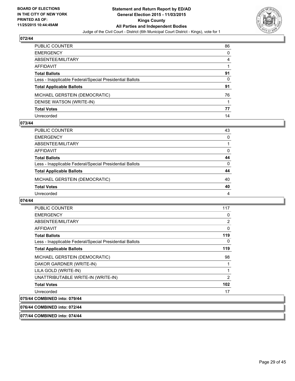

| PUBLIC COUNTER                                           | 86 |
|----------------------------------------------------------|----|
| EMERGENCY                                                | 0  |
| ABSENTEE/MILITARY                                        | 4  |
| AFFIDAVIT                                                |    |
| Total Ballots                                            | 91 |
| Less - Inapplicable Federal/Special Presidential Ballots | 0  |
| <b>Total Applicable Ballots</b>                          | 91 |
| MICHAEL GERSTEIN (DEMOCRATIC)                            | 76 |
| DENISE WATSON (WRITE-IN)                                 |    |
| <b>Total Votes</b>                                       | 77 |
| Unrecorded                                               | 14 |

#### **073/44**

| PUBLIC COUNTER                                           | 43       |
|----------------------------------------------------------|----------|
| <b>EMERGENCY</b>                                         | 0        |
| ABSENTEE/MILITARY                                        |          |
| AFFIDAVIT                                                | 0        |
| <b>Total Ballots</b>                                     | 44       |
| Less - Inapplicable Federal/Special Presidential Ballots | $\Omega$ |
| <b>Total Applicable Ballots</b>                          | 44       |
| MICHAEL GERSTEIN (DEMOCRATIC)                            | 40       |
| <b>Total Votes</b>                                       | 40       |
| Unrecorded                                               | 4        |
|                                                          |          |

#### **074/44**

| <b>PUBLIC COUNTER</b>                                    | 117 |
|----------------------------------------------------------|-----|
| <b>EMERGENCY</b>                                         | 0   |
| ABSENTEE/MILITARY                                        | 2   |
| AFFIDAVIT                                                | 0   |
| <b>Total Ballots</b>                                     | 119 |
| Less - Inapplicable Federal/Special Presidential Ballots | 0   |
| <b>Total Applicable Ballots</b>                          | 119 |
| MICHAEL GERSTEIN (DEMOCRATIC)                            | 98  |
| DAKOR GARDNER (WRITE-IN)                                 | 1   |
| LILA GOLD (WRITE-IN)                                     | 1   |
| UNATTRIBUTABLE WRITE-IN (WRITE-IN)                       | 2   |
| <b>Total Votes</b>                                       | 102 |
| Unrecorded                                               | 17  |
| 075/44 COMBINED into: 079/44                             |     |

## **076/44 COMBINED into: 072/44**

**077/44 COMBINED into: 074/44**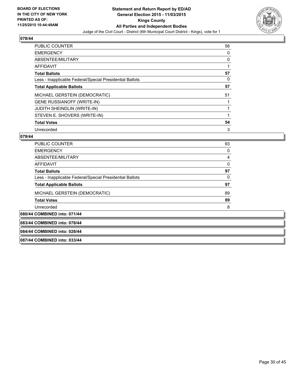

| <b>PUBLIC COUNTER</b>                                    | 56 |
|----------------------------------------------------------|----|
| <b>EMERGENCY</b>                                         | 0  |
| ABSENTEE/MILITARY                                        | 0  |
| <b>AFFIDAVIT</b>                                         |    |
| <b>Total Ballots</b>                                     | 57 |
| Less - Inapplicable Federal/Special Presidential Ballots | 0  |
| <b>Total Applicable Ballots</b>                          | 57 |
| MICHAEL GERSTEIN (DEMOCRATIC)                            | 51 |
| <b>GENE RUSSIANOFF (WRITE-IN)</b>                        |    |
| <b>JUDITH SHEINDLIN (WRITE-IN)</b>                       | 1  |
| STEVEN E. SHOVERS (WRITE-IN)                             |    |
| <b>Total Votes</b>                                       | 54 |
| Unrecorded                                               | 3  |

## **079/44**

| <b>PUBLIC COUNTER</b>                                    | 93 |
|----------------------------------------------------------|----|
| <b>EMERGENCY</b>                                         | 0  |
| ABSENTEE/MILITARY                                        | 4  |
| <b>AFFIDAVIT</b>                                         | 0  |
| <b>Total Ballots</b>                                     | 97 |
| Less - Inapplicable Federal/Special Presidential Ballots | 0  |
| <b>Total Applicable Ballots</b>                          | 97 |
| MICHAEL GERSTEIN (DEMOCRATIC)                            | 89 |
| <b>Total Votes</b>                                       | 89 |
| Unrecorded                                               | 8  |
| COMRINEN into: 074/44                                    |    |

# **080/44 COMBINED into: 071/44**

# **083/44 COMBINED into: 078/44**

#### **084/44 COMBINED into: 028/44**

**087/44 COMBINED into: 033/44**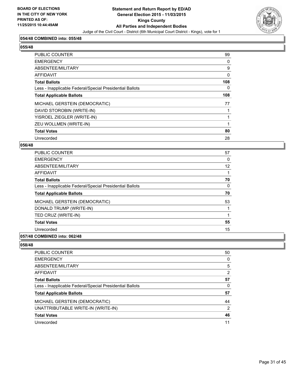

#### **054/48 COMBINED into: 055/48**

| 1 | 4<br>ı |
|---|--------|
|   |        |

| <b>PUBLIC COUNTER</b>                                    | 99  |
|----------------------------------------------------------|-----|
| <b>EMERGENCY</b>                                         | 0   |
| ABSENTEE/MILITARY                                        | 9   |
| <b>AFFIDAVIT</b>                                         | 0   |
| <b>Total Ballots</b>                                     | 108 |
| Less - Inapplicable Federal/Special Presidential Ballots | 0   |
| <b>Total Applicable Ballots</b>                          | 108 |
| MICHAEL GERSTEIN (DEMOCRATIC)                            | 77  |
| DAVID STOROBIN (WRITE-IN)                                |     |
| YISROEL ZIEGLER (WRITE-IN)                               |     |
| ZEU WOLLMEN (WRITE-IN)                                   |     |
| <b>Total Votes</b>                                       | 80  |
| Unrecorded                                               | 28  |

## **056/48**

| <b>PUBLIC COUNTER</b>                                    | 57 |
|----------------------------------------------------------|----|
| <b>EMERGENCY</b>                                         | 0  |
| ABSENTEE/MILITARY                                        | 12 |
| AFFIDAVIT                                                |    |
| <b>Total Ballots</b>                                     | 70 |
| Less - Inapplicable Federal/Special Presidential Ballots | 0  |
| <b>Total Applicable Ballots</b>                          | 70 |
| MICHAEL GERSTEIN (DEMOCRATIC)                            | 53 |
| DONALD TRUMP (WRITE-IN)                                  |    |
| TED CRUZ (WRITE-IN)                                      |    |
| <b>Total Votes</b>                                       | 55 |
| Unrecorded                                               | 15 |
|                                                          |    |

#### **057/48 COMBINED into: 062/48**

| <b>PUBLIC COUNTER</b>                                    | 50 |
|----------------------------------------------------------|----|
| <b>EMERGENCY</b>                                         | 0  |
| ABSENTEE/MILITARY                                        | 5  |
| <b>AFFIDAVIT</b>                                         | 2  |
| <b>Total Ballots</b>                                     | 57 |
| Less - Inapplicable Federal/Special Presidential Ballots | 0  |
| <b>Total Applicable Ballots</b>                          | 57 |
| MICHAEL GERSTEIN (DEMOCRATIC)                            | 44 |
| UNATTRIBUTABLE WRITE-IN (WRITE-IN)                       | 2  |
| <b>Total Votes</b>                                       | 46 |
| Unrecorded                                               | 11 |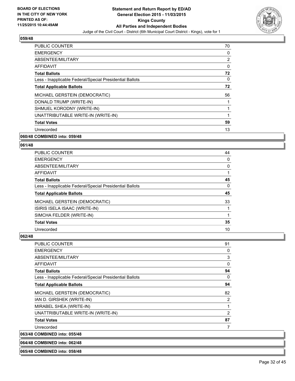

| <b>PUBLIC COUNTER</b>                                    | 70 |
|----------------------------------------------------------|----|
| <b>EMERGENCY</b>                                         | 0  |
| ABSENTEE/MILITARY                                        | 2  |
| AFFIDAVIT                                                | 0  |
| <b>Total Ballots</b>                                     | 72 |
| Less - Inapplicable Federal/Special Presidential Ballots | 0  |
| <b>Total Applicable Ballots</b>                          | 72 |
| MICHAEL GERSTEIN (DEMOCRATIC)                            | 56 |
| DONALD TRUMP (WRITE-IN)                                  |    |
| SHMUEL KORODNY (WRITE-IN)                                |    |
| UNATTRIBUTABLE WRITE-IN (WRITE-IN)                       | 1  |
| <b>Total Votes</b>                                       | 59 |
| Unrecorded                                               | 13 |
| 060/48 COMBINED into: 059/48                             |    |

# **061/48**

| <b>PUBLIC COUNTER</b>                                    | 44 |
|----------------------------------------------------------|----|
| <b>EMERGENCY</b>                                         | 0  |
| ABSENTEE/MILITARY                                        | 0  |
| AFFIDAVIT                                                |    |
| <b>Total Ballots</b>                                     | 45 |
| Less - Inapplicable Federal/Special Presidential Ballots | 0  |
| <b>Total Applicable Ballots</b>                          | 45 |
| MICHAEL GERSTEIN (DEMOCRATIC)                            | 33 |
| ISIRIS ISELA ISAAC (WRITE-IN)                            |    |
| SIMCHA FELDER (WRITE-IN)                                 |    |
| <b>Total Votes</b>                                       | 35 |
|                                                          |    |

#### **062/48**

 $|063/48$ 

| PUBLIC COUNTER                                           | 91 |
|----------------------------------------------------------|----|
| <b>EMERGENCY</b>                                         | 0  |
| ABSENTEE/MILITARY                                        | 3  |
| AFFIDAVIT                                                | 0  |
| <b>Total Ballots</b>                                     | 94 |
| Less - Inapplicable Federal/Special Presidential Ballots | 0  |
| <b>Total Applicable Ballots</b>                          | 94 |
| MICHAEL GERSTEIN (DEMOCRATIC)                            | 82 |
| IAN D. GIRSHEK (WRITE-IN)                                | 2  |
| MIRABEL SHEA (WRITE-IN)                                  | 1  |
| UNATTRIBUTABLE WRITE-IN (WRITE-IN)                       | 2  |
| <b>Total Votes</b>                                       | 87 |
| Unrecorded                                               | 7  |
| <b>COMBINED into: 055/48</b>                             |    |

**064/48 COMBINED into: 062/48**

**065/48 COMBINED into: 058/48**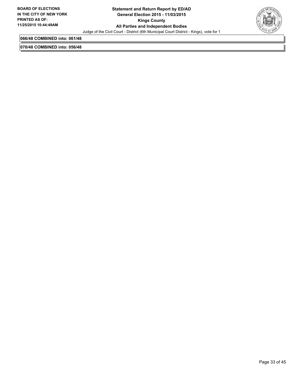

**066/48 COMBINED into: 061/48**

**070/48 COMBINED into: 056/48**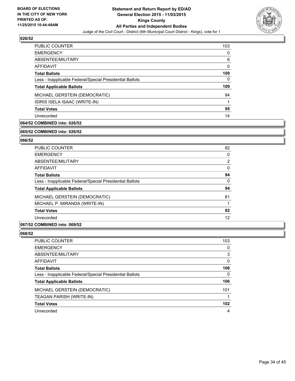

| 103 |
|-----|
| 0   |
| 6   |
| 0   |
| 109 |
| 0   |
| 109 |
| 94  |
|     |
| 95  |
| 14  |
|     |

# **064/52 COMBINED into: 026/52**

#### **065/52 COMBINED into: 026/52**

## **066/52**

| <b>PUBLIC COUNTER</b>                                    | 92             |
|----------------------------------------------------------|----------------|
| <b>EMERGENCY</b>                                         | 0              |
| ABSENTEE/MILITARY                                        | $\overline{2}$ |
| <b>AFFIDAVIT</b>                                         | 0              |
| <b>Total Ballots</b>                                     | 94             |
| Less - Inapplicable Federal/Special Presidential Ballots | 0              |
| <b>Total Applicable Ballots</b>                          | 94             |
| MICHAEL GERSTEIN (DEMOCRATIC)                            | 81             |
| MICHAEL P. MIRANDA (WRITE-IN)                            |                |
| <b>Total Votes</b>                                       | 82             |
| Unrecorded                                               | 12             |

#### **067/52 COMBINED into: 069/52**

| PUBLIC COUNTER                                           | 103 |
|----------------------------------------------------------|-----|
| <b>EMERGENCY</b>                                         | 0   |
| ABSENTEE/MILITARY                                        | 3   |
| AFFIDAVIT                                                | 0   |
| <b>Total Ballots</b>                                     | 106 |
| Less - Inapplicable Federal/Special Presidential Ballots | 0   |
| <b>Total Applicable Ballots</b>                          | 106 |
| MICHAEL GERSTEIN (DEMOCRATIC)                            | 101 |
| TEAGAN PARISH (WRITE-IN)                                 |     |
| <b>Total Votes</b>                                       | 102 |
| Unrecorded                                               | 4   |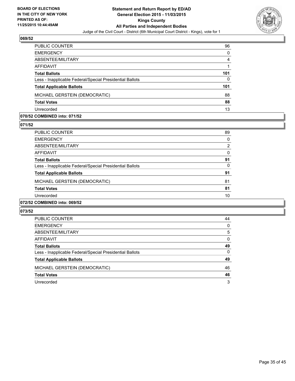

| PUBLIC COUNTER                                           | 96       |
|----------------------------------------------------------|----------|
| <b>EMERGENCY</b>                                         | $\Omega$ |
| ABSENTEE/MILITARY                                        | 4        |
| <b>AFFIDAVIT</b>                                         |          |
| <b>Total Ballots</b>                                     | 101      |
| Less - Inapplicable Federal/Special Presidential Ballots | $\Omega$ |
| <b>Total Applicable Ballots</b>                          | 101      |
| MICHAEL GERSTEIN (DEMOCRATIC)                            | 88       |
| <b>Total Votes</b>                                       | 88       |
| Unrecorded                                               | 13       |

#### **070/52 COMBINED into: 071/52**

**071/52** 

| <b>PUBLIC COUNTER</b>                                                               | 89       |
|-------------------------------------------------------------------------------------|----------|
| <b>EMERGENCY</b>                                                                    | 0        |
| ABSENTEE/MILITARY                                                                   | 2        |
| AFFIDAVIT                                                                           | 0        |
| <b>Total Ballots</b>                                                                | 91       |
| Less - Inapplicable Federal/Special Presidential Ballots                            | $\Omega$ |
| <b>Total Applicable Ballots</b>                                                     | 91       |
| MICHAEL GERSTEIN (DEMOCRATIC)                                                       | 81       |
| <b>Total Votes</b>                                                                  | 81       |
| Unrecorded                                                                          | 10       |
| $A$ $A$ $B$ $B$ $B$ $B$ $B$ $A$ $A$ $A$ $A$ $B$ $B$ $A$ $B$ $B$ $A$ $B$ $B$ $B$ $A$ |          |

## **072/52 COMBINED into: 069/52**

| PUBLIC COUNTER                                           | 44 |
|----------------------------------------------------------|----|
| <b>EMERGENCY</b>                                         | 0  |
| ABSENTEE/MILITARY                                        | 5  |
| AFFIDAVIT                                                | 0  |
| <b>Total Ballots</b>                                     | 49 |
| Less - Inapplicable Federal/Special Presidential Ballots | 0  |
| <b>Total Applicable Ballots</b>                          | 49 |
| MICHAEL GERSTEIN (DEMOCRATIC)                            | 46 |
| <b>Total Votes</b>                                       | 46 |
| Unrecorded                                               | 3  |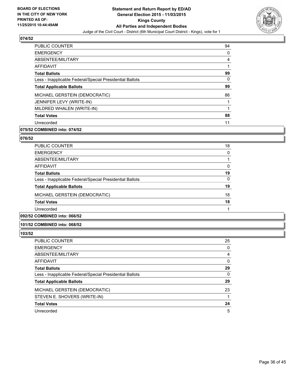

| <b>PUBLIC COUNTER</b>                                    | 94 |
|----------------------------------------------------------|----|
| <b>EMERGENCY</b>                                         | 0  |
| ABSENTEE/MILITARY                                        | 4  |
| AFFIDAVIT                                                |    |
| <b>Total Ballots</b>                                     | 99 |
| Less - Inapplicable Federal/Special Presidential Ballots | 0  |
| <b>Total Applicable Ballots</b>                          | 99 |
| MICHAEL GERSTEIN (DEMOCRATIC)                            | 86 |
| JENNIFER LEVY (WRITE-IN)                                 | 1  |
| MILDRED WHALEN (WRITE-IN)                                | 1  |
| <b>Total Votes</b>                                       | 88 |
| Unrecorded                                               | 11 |

# **075/52 COMBINED into: 074/52**

## **076/52**

| <b>PUBLIC COUNTER</b>                                    | 18 |
|----------------------------------------------------------|----|
| <b>EMERGENCY</b>                                         | 0  |
| ABSENTEE/MILITARY                                        |    |
| AFFIDAVIT                                                | 0  |
| <b>Total Ballots</b>                                     | 19 |
| Less - Inapplicable Federal/Special Presidential Ballots | 0  |
| <b>Total Applicable Ballots</b>                          | 19 |
| MICHAEL GERSTEIN (DEMOCRATIC)                            | 18 |
| <b>Total Votes</b>                                       | 18 |
| Unrecorded                                               |    |
|                                                          |    |

## **092/52 COMBINED into: 066/52**

#### **101/52 COMBINED into: 068/52**

| PUBLIC COUNTER                                           | 25 |
|----------------------------------------------------------|----|
| <b>EMERGENCY</b>                                         | 0  |
| ABSENTEE/MILITARY                                        | 4  |
| AFFIDAVIT                                                | 0  |
| <b>Total Ballots</b>                                     | 29 |
| Less - Inapplicable Federal/Special Presidential Ballots | 0  |
| <b>Total Applicable Ballots</b>                          | 29 |
| MICHAEL GERSTEIN (DEMOCRATIC)                            | 23 |
| STEVEN E. SHOVERS (WRITE-IN)                             |    |
| <b>Total Votes</b>                                       | 24 |
| Unrecorded                                               | 5  |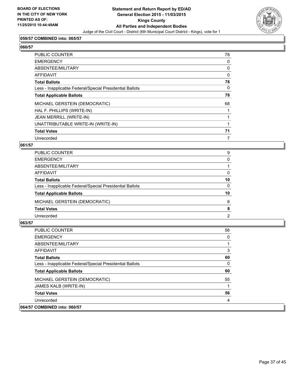

#### **059/57 COMBINED into: 065/57**

| ×<br>۰,<br>۰,<br>I |
|--------------------|

| PUBLIC COUNTER                                           | 78 |
|----------------------------------------------------------|----|
| <b>EMERGENCY</b>                                         | 0  |
| ABSENTEE/MILITARY                                        | 0  |
| <b>AFFIDAVIT</b>                                         | 0  |
| <b>Total Ballots</b>                                     | 78 |
| Less - Inapplicable Federal/Special Presidential Ballots | 0  |
| <b>Total Applicable Ballots</b>                          | 78 |
| MICHAEL GERSTEIN (DEMOCRATIC)                            | 68 |
| HAL F. PHILLIPS (WRITE-IN)                               |    |
| JEAN MERRILL (WRITE-IN)                                  |    |
| UNATTRIBUTABLE WRITE-IN (WRITE-IN)                       |    |
| <b>Total Votes</b>                                       | 71 |
| Unrecorded                                               |    |

#### **061/57**

| PUBLIC COUNTER                                           | 9              |
|----------------------------------------------------------|----------------|
| <b>EMERGENCY</b>                                         | 0              |
| ABSENTEE/MILITARY                                        |                |
| <b>AFFIDAVIT</b>                                         | 0              |
| <b>Total Ballots</b>                                     | 10             |
| Less - Inapplicable Federal/Special Presidential Ballots | 0              |
| <b>Total Applicable Ballots</b>                          | 10             |
| MICHAEL GERSTEIN (DEMOCRATIC)                            | 8              |
| <b>Total Votes</b>                                       | 8              |
| Unrecorded                                               | $\overline{2}$ |

| <b>PUBLIC COUNTER</b>                                    | 56 |
|----------------------------------------------------------|----|
| <b>EMERGENCY</b>                                         | 0  |
| ABSENTEE/MILITARY                                        |    |
| <b>AFFIDAVIT</b>                                         | 3  |
| <b>Total Ballots</b>                                     | 60 |
| Less - Inapplicable Federal/Special Presidential Ballots | 0  |
| <b>Total Applicable Ballots</b>                          | 60 |
| MICHAEL GERSTEIN (DEMOCRATIC)                            | 55 |
| JAMES KALB (WRITE-IN)                                    |    |
| <b>Total Votes</b>                                       | 56 |
| Unrecorded                                               | 4  |
| 064/57 COMBINED into: 060/57                             |    |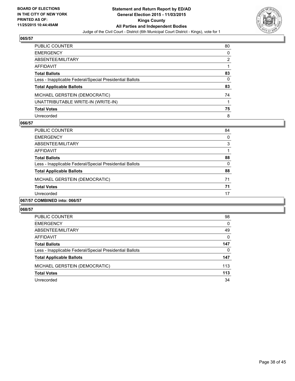

| PUBLIC COUNTER                                           | 80 |
|----------------------------------------------------------|----|
| <b>EMERGENCY</b>                                         | 0  |
| ABSENTEE/MILITARY                                        | 2  |
| AFFIDAVIT                                                |    |
| <b>Total Ballots</b>                                     | 83 |
| Less - Inapplicable Federal/Special Presidential Ballots | 0  |
| <b>Total Applicable Ballots</b>                          | 83 |
| MICHAEL GERSTEIN (DEMOCRATIC)                            | 74 |
| UNATTRIBUTABLE WRITE-IN (WRITE-IN)                       |    |
| <b>Total Votes</b>                                       | 75 |
| Unrecorded                                               | 8  |

#### **066/57**

| PUBLIC COUNTER                                           | 84 |
|----------------------------------------------------------|----|
| <b>EMERGENCY</b>                                         | 0  |
| ABSENTEE/MILITARY                                        | 3  |
| AFFIDAVIT                                                |    |
| <b>Total Ballots</b>                                     | 88 |
| Less - Inapplicable Federal/Special Presidential Ballots | 0  |
| <b>Total Applicable Ballots</b>                          | 88 |
| MICHAEL GERSTEIN (DEMOCRATIC)                            | 71 |
| <b>Total Votes</b>                                       | 71 |
| Unrecorded                                               | 17 |
| $\ldots$                                                 |    |

# **067/57 COMBINED into: 066/57**

| PUBLIC COUNTER                                           | 98  |
|----------------------------------------------------------|-----|
| <b>EMERGENCY</b>                                         | 0   |
| ABSENTEE/MILITARY                                        | 49  |
| AFFIDAVIT                                                | 0   |
| <b>Total Ballots</b>                                     | 147 |
| Less - Inapplicable Federal/Special Presidential Ballots | 0   |
| <b>Total Applicable Ballots</b>                          | 147 |
| MICHAEL GERSTEIN (DEMOCRATIC)                            | 113 |
| <b>Total Votes</b>                                       | 113 |
| Unrecorded                                               | 34  |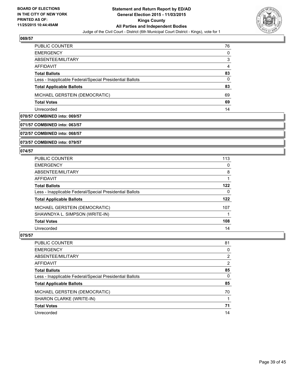

| PUBLIC COUNTER                                           | 76 |
|----------------------------------------------------------|----|
| <b>EMERGENCY</b>                                         | 0  |
| ABSENTEE/MILITARY                                        | 3  |
| AFFIDAVIT                                                | 4  |
| <b>Total Ballots</b>                                     | 83 |
| Less - Inapplicable Federal/Special Presidential Ballots | 0  |
| <b>Total Applicable Ballots</b>                          | 83 |
| MICHAEL GERSTEIN (DEMOCRATIC)                            | 69 |
| <b>Total Votes</b>                                       | 69 |
| Unrecorded                                               | 14 |

#### **070/57 COMBINED into: 069/57**

# **071/57 COMBINED into: 063/57**

**072/57 COMBINED into: 068/57**

#### **073/57 COMBINED into: 079/57**

#### **074/57**

| <b>PUBLIC COUNTER</b>                                    | 113 |
|----------------------------------------------------------|-----|
| <b>EMERGENCY</b>                                         | 0   |
| ABSENTEE/MILITARY                                        | 8   |
| <b>AFFIDAVIT</b>                                         |     |
| <b>Total Ballots</b>                                     | 122 |
| Less - Inapplicable Federal/Special Presidential Ballots | 0   |
| <b>Total Applicable Ballots</b>                          | 122 |
| MICHAEL GERSTEIN (DEMOCRATIC)                            | 107 |
| SHAWNDYA L. SIMPSON (WRITE-IN)                           |     |
| <b>Total Votes</b>                                       | 108 |
| Unrecorded                                               | 14  |

| PUBLIC COUNTER                                           | 81             |
|----------------------------------------------------------|----------------|
| <b>EMERGENCY</b>                                         | 0              |
| ABSENTEE/MILITARY                                        | $\overline{2}$ |
| <b>AFFIDAVIT</b>                                         | $\overline{2}$ |
| <b>Total Ballots</b>                                     | 85             |
| Less - Inapplicable Federal/Special Presidential Ballots | $\mathbf{0}$   |
| <b>Total Applicable Ballots</b>                          | 85             |
| MICHAEL GERSTEIN (DEMOCRATIC)                            | 70             |
| SHARON CLARKE (WRITE-IN)                                 |                |
| <b>Total Votes</b>                                       | 71             |
| Unrecorded                                               | 14             |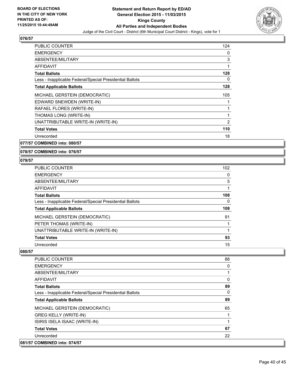

| <b>PUBLIC COUNTER</b>                                    | 124 |
|----------------------------------------------------------|-----|
| <b>EMERGENCY</b>                                         | 0   |
| ABSENTEE/MILITARY                                        | 3   |
| <b>AFFIDAVIT</b>                                         | 1   |
| <b>Total Ballots</b>                                     | 128 |
| Less - Inapplicable Federal/Special Presidential Ballots | 0   |
| <b>Total Applicable Ballots</b>                          | 128 |
| MICHAEL GERSTEIN (DEMOCRATIC)                            | 105 |
| EDWARD SNEWDEN (WRITE-IN)                                |     |
| RAFAEL FLORES (WRITE-IN)                                 | 1   |
| THOMAS LONG (WRITE-IN)                                   | 1   |
| UNATTRIBUTABLE WRITE-IN (WRITE-IN)                       | 2   |
| <b>Total Votes</b>                                       | 110 |
| Unrecorded                                               | 18  |
|                                                          |     |

**077/57 COMBINED into: 080/57**

**078/57 COMBINED into: 076/57**

#### **079/57**

| <b>PUBLIC COUNTER</b>                                    | 102 |
|----------------------------------------------------------|-----|
| <b>EMERGENCY</b>                                         | 0   |
| ABSENTEE/MILITARY                                        | 5   |
| <b>AFFIDAVIT</b>                                         |     |
| <b>Total Ballots</b>                                     | 108 |
| Less - Inapplicable Federal/Special Presidential Ballots | 0   |
| <b>Total Applicable Ballots</b>                          | 108 |
| MICHAEL GERSTEIN (DEMOCRATIC)                            | 91  |
| PETER THOMAS (WRITE-IN)                                  |     |
| UNATTRIBUTABLE WRITE-IN (WRITE-IN)                       |     |
| <b>Total Votes</b>                                       | 93  |
| Unrecorded                                               | 15  |

| <b>PUBLIC COUNTER</b>                                    | 88 |
|----------------------------------------------------------|----|
| <b>EMERGENCY</b>                                         | 0  |
| ABSENTEE/MILITARY                                        |    |
| AFFIDAVIT                                                | 0  |
| <b>Total Ballots</b>                                     | 89 |
| Less - Inapplicable Federal/Special Presidential Ballots | 0  |
| <b>Total Applicable Ballots</b>                          | 89 |
| MICHAEL GERSTEIN (DEMOCRATIC)                            | 65 |
| <b>GREG KELLY (WRITE-IN)</b>                             |    |
| ISIRIS ISELA ISAAC (WRITE-IN)                            |    |
| <b>Total Votes</b>                                       | 67 |
| Unrecorded                                               | 22 |
| 081/57 COMBINED into: 074/57                             |    |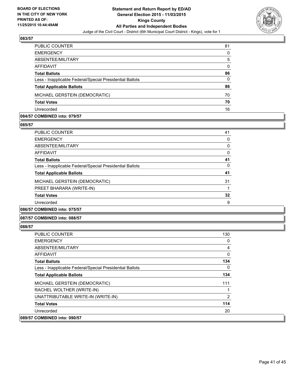

| PUBLIC COUNTER                                           | 81       |
|----------------------------------------------------------|----------|
| <b>EMERGENCY</b>                                         | 0        |
| ABSENTEE/MILITARY                                        | 5        |
| AFFIDAVIT                                                | 0        |
| <b>Total Ballots</b>                                     | 86       |
| Less - Inapplicable Federal/Special Presidential Ballots | $\Omega$ |
| <b>Total Applicable Ballots</b>                          | 86       |
| MICHAEL GERSTEIN (DEMOCRATIC)                            | 70       |
| <b>Total Votes</b>                                       | 70       |
| Unrecorded                                               | 16       |

#### **084/57 COMBINED into: 079/57**

**085/57** 

| PUBLIC COUNTER                                           | 41 |
|----------------------------------------------------------|----|
| <b>EMERGENCY</b>                                         | 0  |
| ABSENTEE/MILITARY                                        | 0  |
| AFFIDAVIT                                                | 0  |
| <b>Total Ballots</b>                                     | 41 |
| Less - Inapplicable Federal/Special Presidential Ballots | 0  |
| <b>Total Applicable Ballots</b>                          | 41 |
| MICHAEL GERSTEIN (DEMOCRATIC)                            | 31 |
| PREET BHARARA (WRITE-IN)                                 |    |
| <b>Total Votes</b>                                       | 32 |
| Unrecorded                                               | 9  |
|                                                          |    |

**086/57 COMBINED into: 075/57**

**087/57 COMBINED into: 088/57**

| PUBLIC COUNTER                                           | 130            |
|----------------------------------------------------------|----------------|
| <b>EMERGENCY</b>                                         | 0              |
| ABSENTEE/MILITARY                                        | 4              |
| AFFIDAVIT                                                | 0              |
| <b>Total Ballots</b>                                     | 134            |
| Less - Inapplicable Federal/Special Presidential Ballots | 0              |
| <b>Total Applicable Ballots</b>                          | 134            |
| MICHAEL GERSTEIN (DEMOCRATIC)                            | 111            |
| RACHEL WOLTHER (WRITE-IN)                                |                |
| UNATTRIBUTABLE WRITE-IN (WRITE-IN)                       | $\overline{2}$ |
| <b>Total Votes</b>                                       | 114            |
| Unrecorded                                               | 20             |
| 089/57 COMBINED into: 090/57                             |                |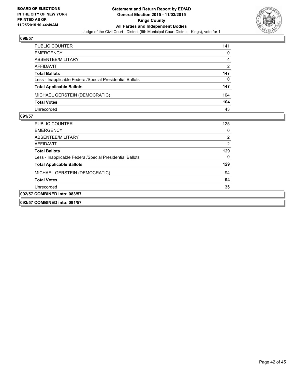

| PUBLIC COUNTER                                           | 141 |
|----------------------------------------------------------|-----|
| <b>EMERGENCY</b>                                         | 0   |
| ABSENTEE/MILITARY                                        | 4   |
| AFFIDAVIT                                                | 2   |
| <b>Total Ballots</b>                                     | 147 |
| Less - Inapplicable Federal/Special Presidential Ballots | 0   |
| <b>Total Applicable Ballots</b>                          | 147 |
| MICHAEL GERSTEIN (DEMOCRATIC)                            | 104 |
| <b>Total Votes</b>                                       | 104 |
| Unrecorded                                               | 43  |

| PUBLIC COUNTER                                           | 125 |
|----------------------------------------------------------|-----|
| <b>EMERGENCY</b>                                         | 0   |
| ABSENTEE/MILITARY                                        | 2   |
| AFFIDAVIT                                                | 2   |
| <b>Total Ballots</b>                                     | 129 |
| Less - Inapplicable Federal/Special Presidential Ballots | 0   |
| <b>Total Applicable Ballots</b>                          | 129 |
| MICHAEL GERSTEIN (DEMOCRATIC)                            | 94  |
| <b>Total Votes</b>                                       | 94  |
| Unrecorded                                               | 35  |
| 092/57 COMBINED into: 083/57                             |     |
| 093/57 COMBINED into: 091/57                             |     |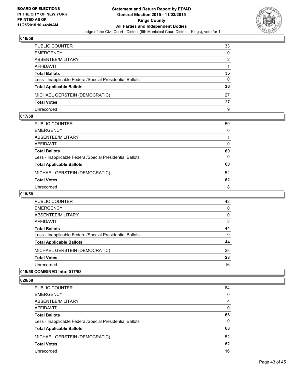

| PUBLIC COUNTER                                           | 33       |
|----------------------------------------------------------|----------|
| <b>EMERGENCY</b>                                         | $\Omega$ |
| ABSENTEE/MILITARY                                        | 2        |
| AFFIDAVIT                                                |          |
| <b>Total Ballots</b>                                     | 36       |
| Less - Inapplicable Federal/Special Presidential Ballots | $\Omega$ |
| <b>Total Applicable Ballots</b>                          | 36       |
| MICHAEL GERSTEIN (DEMOCRATIC)                            | 27       |
| <b>Total Votes</b>                                       | 27       |
| Unrecorded                                               | 9        |

#### **017/58**

| PUBLIC COUNTER                                           | 59           |
|----------------------------------------------------------|--------------|
| EMERGENCY                                                | 0            |
| ABSENTEE/MILITARY                                        |              |
| AFFIDAVIT                                                | 0            |
| Total Ballots                                            | 60           |
| Less - Inapplicable Federal/Special Presidential Ballots | $\mathbf{0}$ |
| <b>Total Applicable Ballots</b>                          | 60           |
| MICHAEL GERSTEIN (DEMOCRATIC)                            | 52           |
| <b>Total Votes</b>                                       | 52           |
| Unrecorded                                               | 8            |

#### **018/58**

| PUBLIC COUNTER                                           | 42       |
|----------------------------------------------------------|----------|
| <b>EMERGENCY</b>                                         | 0        |
| ABSENTEE/MILITARY                                        | 0        |
| AFFIDAVIT                                                | 2        |
| <b>Total Ballots</b>                                     | 44       |
| Less - Inapplicable Federal/Special Presidential Ballots | $\Omega$ |
| <b>Total Applicable Ballots</b>                          | 44       |
| MICHAEL GERSTEIN (DEMOCRATIC)                            | 28       |
| <b>Total Votes</b>                                       | 28       |
| Unrecorded                                               | 16       |
|                                                          |          |

## **019/58 COMBINED into: 017/58**

| PUBLIC COUNTER                                           | 64 |
|----------------------------------------------------------|----|
| <b>EMERGENCY</b>                                         | 0  |
| ABSENTEE/MILITARY                                        | 4  |
| <b>AFFIDAVIT</b>                                         | 0  |
| <b>Total Ballots</b>                                     | 68 |
| Less - Inapplicable Federal/Special Presidential Ballots | 0  |
| <b>Total Applicable Ballots</b>                          | 68 |
| MICHAEL GERSTEIN (DEMOCRATIC)                            | 52 |
| <b>Total Votes</b>                                       | 52 |
| Unrecorded                                               | 16 |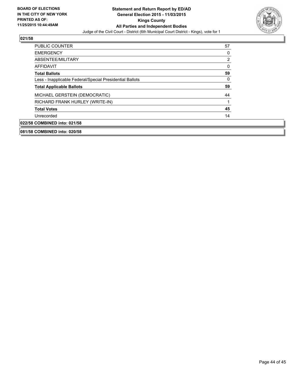

| <b>PUBLIC COUNTER</b>                                    | 57 |
|----------------------------------------------------------|----|
| <b>EMERGENCY</b>                                         | 0  |
| ABSENTEE/MILITARY                                        | 2  |
| <b>AFFIDAVIT</b>                                         | 0  |
| <b>Total Ballots</b>                                     | 59 |
| Less - Inapplicable Federal/Special Presidential Ballots | 0  |
| <b>Total Applicable Ballots</b>                          | 59 |
| MICHAEL GERSTEIN (DEMOCRATIC)                            | 44 |
| RICHARD FRANK HURLEY (WRITE-IN)                          | 1  |
| <b>Total Votes</b>                                       | 45 |
| Unrecorded                                               | 14 |
| 022/58 COMBINED into: 021/58                             |    |
|                                                          |    |

**081/58 COMBINED into: 020/58**